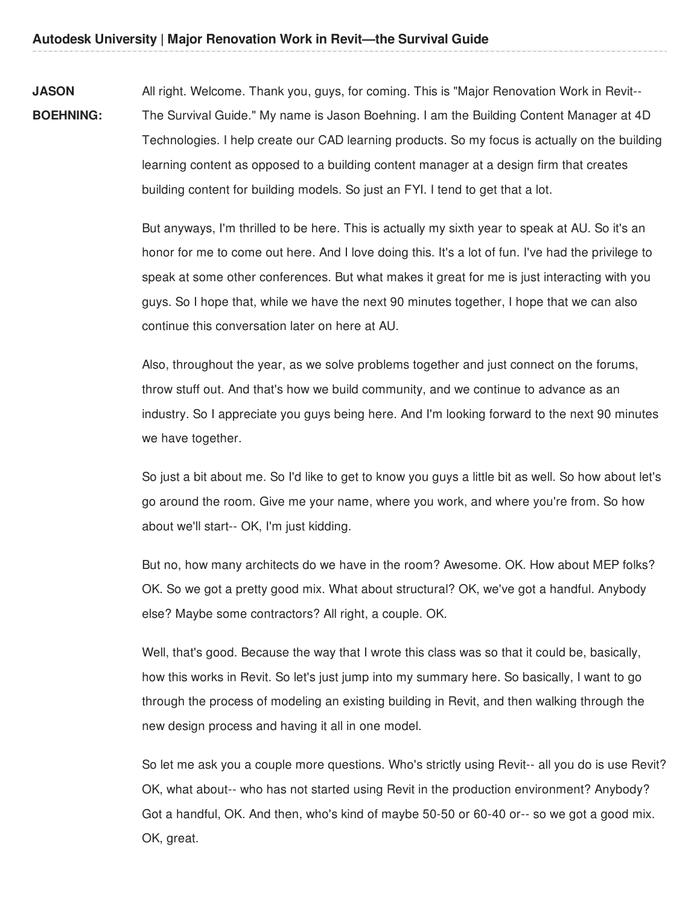**JASON BOEHNING:** All right. Welcome. Thank you, guys, for coming. This is "Major Renovation Work in Revit-- The Survival Guide." My name is Jason Boehning. I am the Building Content Manager at 4D Technologies. I help create our CAD learning products. So my focus is actually on the building learning content as opposed to a building content manager at a design firm that creates building content for building models. So just an FYI. I tend to get that a lot.

> But anyways, I'm thrilled to be here. This is actually my sixth year to speak at AU. So it's an honor for me to come out here. And I love doing this. It's a lot of fun. I've had the privilege to speak at some other conferences. But what makes it great for me is just interacting with you guys. So I hope that, while we have the next 90 minutes together, I hope that we can also continue this conversation later on here at AU.

Also, throughout the year, as we solve problems together and just connect on the forums, throw stuff out. And that's how we build community, and we continue to advance as an industry. So I appreciate you guys being here. And I'm looking forward to the next 90 minutes we have together.

So just a bit about me. So I'd like to get to know you guys a little bit as well. So how about let's go around the room. Give me your name, where you work, and where you're from. So how about we'll start-- OK, I'm just kidding.

But no, how many architects do we have in the room? Awesome. OK. How about MEP folks? OK. So we got a pretty good mix. What about structural? OK, we've got a handful. Anybody else? Maybe some contractors? All right, a couple. OK.

Well, that's good. Because the way that I wrote this class was so that it could be, basically, how this works in Revit. So let's just jump into my summary here. So basically, I want to go through the process of modeling an existing building in Revit, and then walking through the new design process and having it all in one model.

So let me ask you a couple more questions. Who's strictly using Revit-- all you do is use Revit? OK, what about-- who has not started using Revit in the production environment? Anybody? Got a handful, OK. And then, who's kind of maybe 50-50 or 60-40 or-- so we got a good mix. OK, great.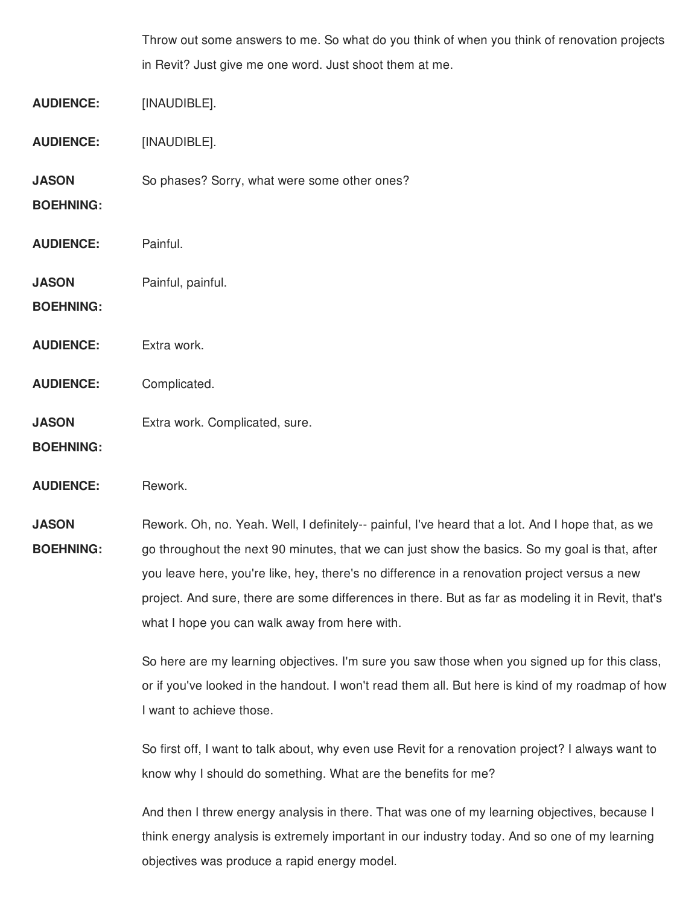|                                                         | Throw out some answers to me. So what do you think of when you think of renovation projects |
|---------------------------------------------------------|---------------------------------------------------------------------------------------------|
| in Revit? Just give me one word. Just shoot them at me. |                                                                                             |

**AUDIENCE:** [INAUDIBLE].

**AUDIENCE:** [INAUDIBLE].

**JASON** So phases? Sorry, what were some other ones?

**BOEHNING:**

- **AUDIENCE:** Painful.
- **JASON** Painful, painful.

**BOEHNING:**

- **AUDIENCE:** Extra work.
- **AUDIENCE:** Complicated.

**JASON** Extra work. Complicated, sure.

**BOEHNING:**

**AUDIENCE:** Rework.

**JASON BOEHNING:** Rework. Oh, no. Yeah. Well, I definitely-- painful, I've heard that a lot. And I hope that, as we go throughout the next 90 minutes, that we can just show the basics. So my goal is that, after you leave here, you're like, hey, there's no difference in a renovation project versus a new project. And sure, there are some differences in there. But as far as modeling it in Revit, that's what I hope you can walk away from here with.

> So here are my learning objectives. I'm sure you saw those when you signed up for this class, or if you've looked in the handout. I won't read them all. But here is kind of my roadmap of how I want to achieve those.

So first off, I want to talk about, why even use Revit for a renovation project? I always want to know why I should do something. What are the benefits for me?

And then I threw energy analysis in there. That was one of my learning objectives, because I think energy analysis is extremely important in our industry today. And so one of my learning objectives was produce a rapid energy model.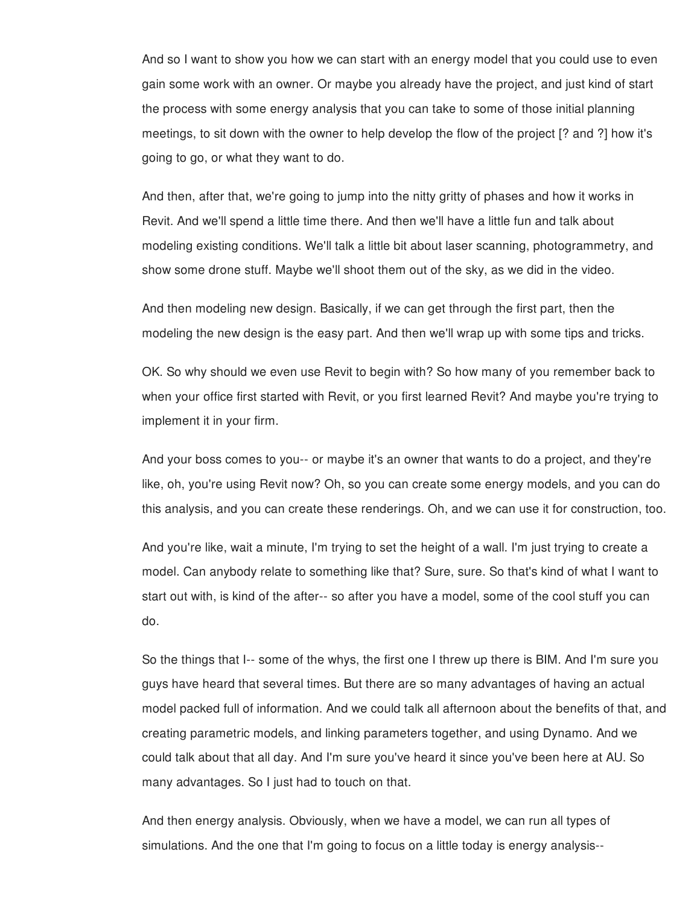And so I want to show you how we can start with an energy model that you could use to even gain some work with an owner. Or maybe you already have the project, and just kind of start the process with some energy analysis that you can take to some of those initial planning meetings, to sit down with the owner to help develop the flow of the project [? and ?] how it's going to go, or what they want to do.

And then, after that, we're going to jump into the nitty gritty of phases and how it works in Revit. And we'll spend a little time there. And then we'll have a little fun and talk about modeling existing conditions. We'll talk a little bit about laser scanning, photogrammetry, and show some drone stuff. Maybe we'll shoot them out of the sky, as we did in the video.

And then modeling new design. Basically, if we can get through the first part, then the modeling the new design is the easy part. And then we'll wrap up with some tips and tricks.

OK. So why should we even use Revit to begin with? So how many of you remember back to when your office first started with Revit, or you first learned Revit? And maybe you're trying to implement it in your firm.

And your boss comes to you-- or maybe it's an owner that wants to do a project, and they're like, oh, you're using Revit now? Oh, so you can create some energy models, and you can do this analysis, and you can create these renderings. Oh, and we can use it for construction, too.

And you're like, wait a minute, I'm trying to set the height of a wall. I'm just trying to create a model. Can anybody relate to something like that? Sure, sure. So that's kind of what I want to start out with, is kind of the after-- so after you have a model, some of the cool stuff you can do.

So the things that I-- some of the whys, the first one I threw up there is BIM. And I'm sure you guys have heard that several times. But there are so many advantages of having an actual model packed full of information. And we could talk all afternoon about the benefits of that, and creating parametric models, and linking parameters together, and using Dynamo. And we could talk about that all day. And I'm sure you've heard it since you've been here at AU. So many advantages. So I just had to touch on that.

And then energy analysis. Obviously, when we have a model, we can run all types of simulations. And the one that I'm going to focus on a little today is energy analysis--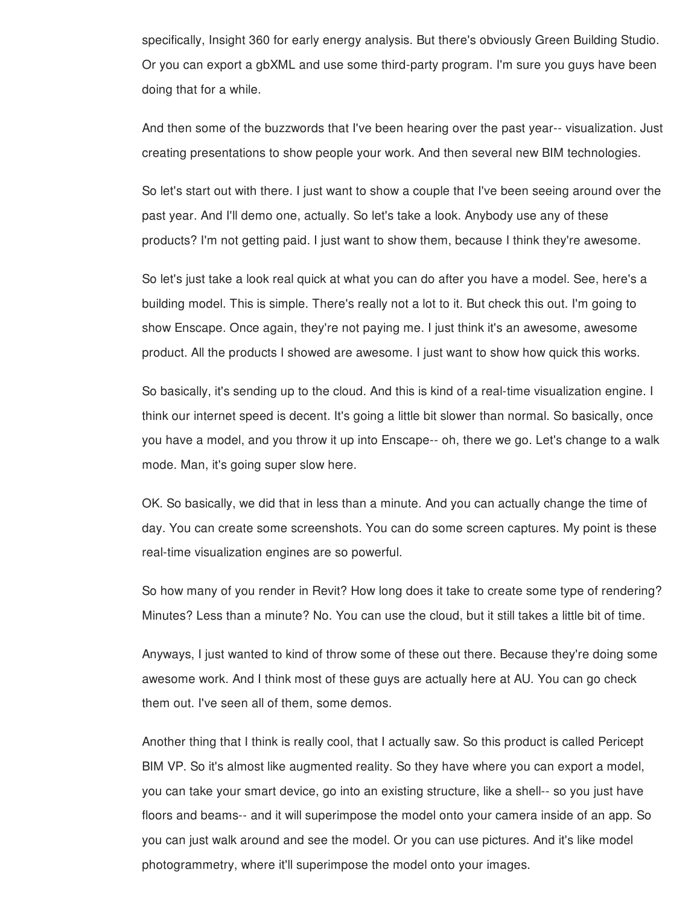specifically, Insight 360 for early energy analysis. But there's obviously Green Building Studio. Or you can export a gbXML and use some third-party program. I'm sure you guys have been doing that for a while.

And then some of the buzzwords that I've been hearing over the past year-- visualization. Just creating presentations to show people your work. And then several new BIM technologies.

So let's start out with there. I just want to show a couple that I've been seeing around over the past year. And I'll demo one, actually. So let's take a look. Anybody use any of these products? I'm not getting paid. I just want to show them, because I think they're awesome.

So let's just take a look real quick at what you can do after you have a model. See, here's a building model. This is simple. There's really not a lot to it. But check this out. I'm going to show Enscape. Once again, they're not paying me. I just think it's an awesome, awesome product. All the products I showed are awesome. I just want to show how quick this works.

So basically, it's sending up to the cloud. And this is kind of a real-time visualization engine. I think our internet speed is decent. It's going a little bit slower than normal. So basically, once you have a model, and you throw it up into Enscape-- oh, there we go. Let's change to a walk mode. Man, it's going super slow here.

OK. So basically, we did that in less than a minute. And you can actually change the time of day. You can create some screenshots. You can do some screen captures. My point is these real-time visualization engines are so powerful.

So how many of you render in Revit? How long does it take to create some type of rendering? Minutes? Less than a minute? No. You can use the cloud, but it still takes a little bit of time.

Anyways, I just wanted to kind of throw some of these out there. Because they're doing some awesome work. And I think most of these guys are actually here at AU. You can go check them out. I've seen all of them, some demos.

Another thing that I think is really cool, that I actually saw. So this product is called Pericept BIM VP. So it's almost like augmented reality. So they have where you can export a model, you can take your smart device, go into an existing structure, like a shell-- so you just have floors and beams-- and it will superimpose the model onto your camera inside of an app. So you can just walk around and see the model. Or you can use pictures. And it's like model photogrammetry, where it'll superimpose the model onto your images.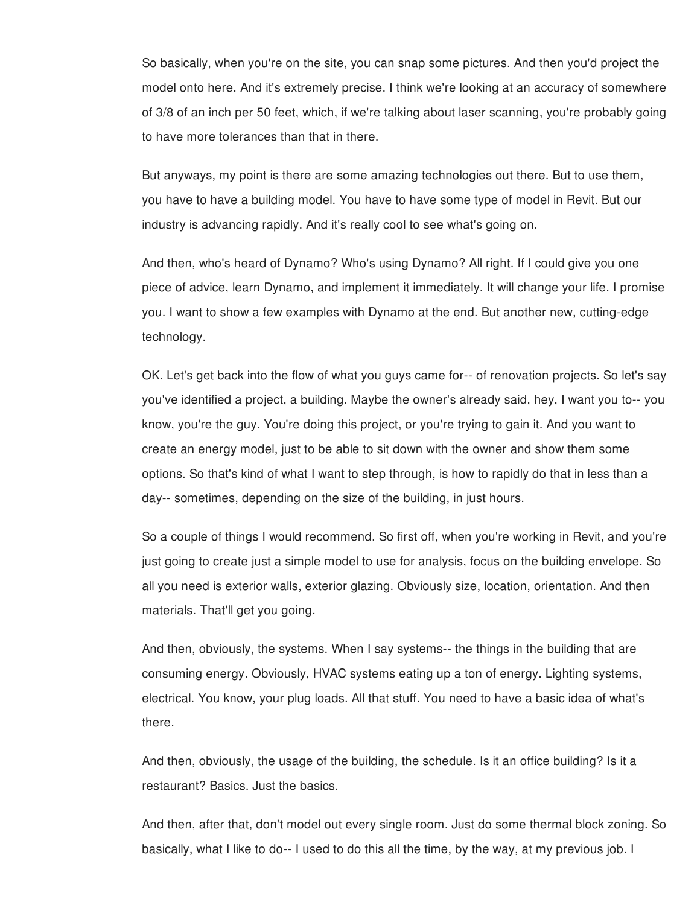So basically, when you're on the site, you can snap some pictures. And then you'd project the model onto here. And it's extremely precise. I think we're looking at an accuracy of somewhere of 3/8 of an inch per 50 feet, which, if we're talking about laser scanning, you're probably going to have more tolerances than that in there.

But anyways, my point is there are some amazing technologies out there. But to use them, you have to have a building model. You have to have some type of model in Revit. But our industry is advancing rapidly. And it's really cool to see what's going on.

And then, who's heard of Dynamo? Who's using Dynamo? All right. If I could give you one piece of advice, learn Dynamo, and implement it immediately. It will change your life. I promise you. I want to show a few examples with Dynamo at the end. But another new, cutting-edge technology.

OK. Let's get back into the flow of what you guys came for-- of renovation projects. So let's say you've identified a project, a building. Maybe the owner's already said, hey, I want you to-- you know, you're the guy. You're doing this project, or you're trying to gain it. And you want to create an energy model, just to be able to sit down with the owner and show them some options. So that's kind of what I want to step through, is how to rapidly do that in less than a day-- sometimes, depending on the size of the building, in just hours.

So a couple of things I would recommend. So first off, when you're working in Revit, and you're just going to create just a simple model to use for analysis, focus on the building envelope. So all you need is exterior walls, exterior glazing. Obviously size, location, orientation. And then materials. That'll get you going.

And then, obviously, the systems. When I say systems-- the things in the building that are consuming energy. Obviously, HVAC systems eating up a ton of energy. Lighting systems, electrical. You know, your plug loads. All that stuff. You need to have a basic idea of what's there.

And then, obviously, the usage of the building, the schedule. Is it an office building? Is it a restaurant? Basics. Just the basics.

And then, after that, don't model out every single room. Just do some thermal block zoning. So basically, what I like to do-- I used to do this all the time, by the way, at my previous job. I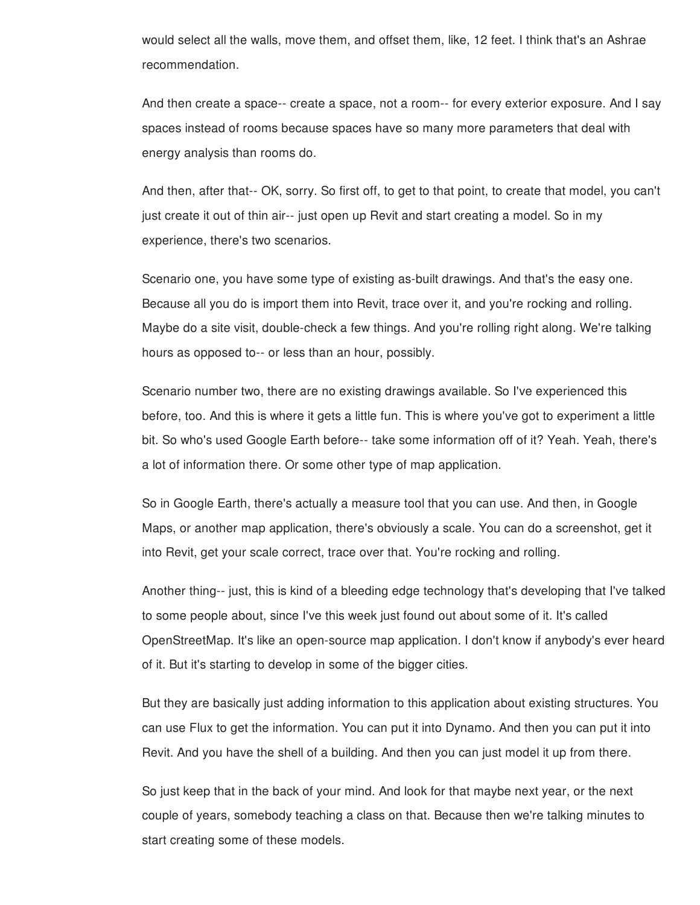would select all the walls, move them, and offset them, like, 12 feet. I think that's an Ashrae recommendation.

And then create a space-- create a space, not a room-- for every exterior exposure. And I say spaces instead of rooms because spaces have so many more parameters that deal with energy analysis than rooms do.

And then, after that-- OK, sorry. So first off, to get to that point, to create that model, you can't just create it out of thin air-- just open up Revit and start creating a model. So in my experience, there's two scenarios.

Scenario one, you have some type of existing as-built drawings. And that's the easy one. Because all you do is import them into Revit, trace over it, and you're rocking and rolling. Maybe do a site visit, double-check a few things. And you're rolling right along. We're talking hours as opposed to-- or less than an hour, possibly.

Scenario number two, there are no existing drawings available. So I've experienced this before, too. And this is where it gets a little fun. This is where you've got to experiment a little bit. So who's used Google Earth before-- take some information off of it? Yeah. Yeah, there's a lot of information there. Or some other type of map application.

So in Google Earth, there's actually a measure tool that you can use. And then, in Google Maps, or another map application, there's obviously a scale. You can do a screenshot, get it into Revit, get your scale correct, trace over that. You're rocking and rolling.

Another thing-- just, this is kind of a bleeding edge technology that's developing that I've talked to some people about, since I've this week just found out about some of it. It's called OpenStreetMap. It's like an open-source map application. I don't know if anybody's ever heard of it. But it's starting to develop in some of the bigger cities.

But they are basically just adding information to this application about existing structures. You can use Flux to get the information. You can put it into Dynamo. And then you can put it into Revit. And you have the shell of a building. And then you can just model it up from there.

So just keep that in the back of your mind. And look for that maybe next year, or the next couple of years, somebody teaching a class on that. Because then we're talking minutes to start creating some of these models.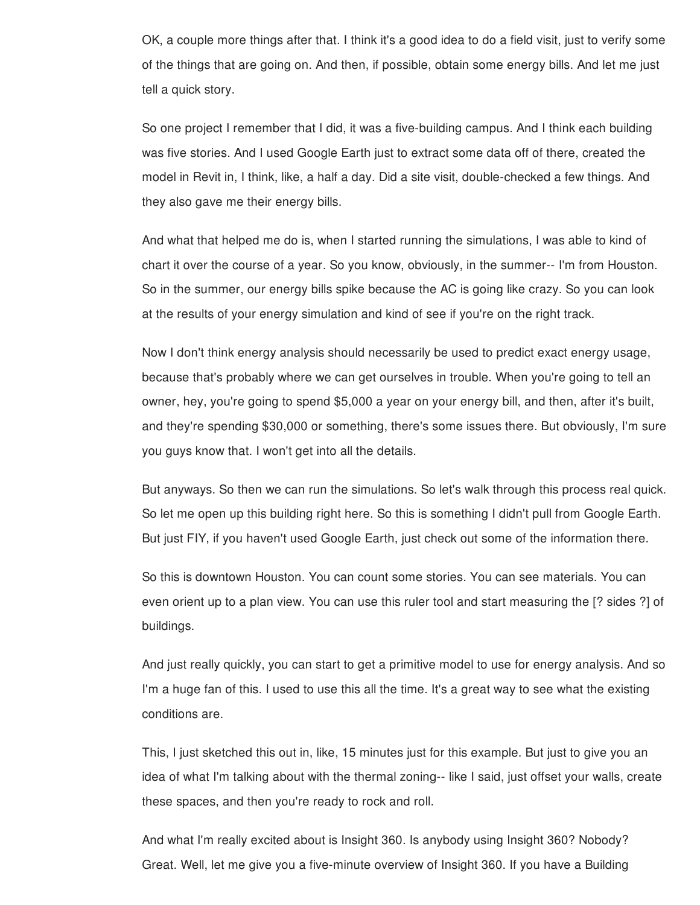OK, a couple more things after that. I think it's a good idea to do a field visit, just to verify some of the things that are going on. And then, if possible, obtain some energy bills. And let me just tell a quick story.

So one project I remember that I did, it was a five-building campus. And I think each building was five stories. And I used Google Earth just to extract some data off of there, created the model in Revit in, I think, like, a half a day. Did a site visit, double-checked a few things. And they also gave me their energy bills.

And what that helped me do is, when I started running the simulations, I was able to kind of chart it over the course of a year. So you know, obviously, in the summer-- I'm from Houston. So in the summer, our energy bills spike because the AC is going like crazy. So you can look at the results of your energy simulation and kind of see if you're on the right track.

Now I don't think energy analysis should necessarily be used to predict exact energy usage, because that's probably where we can get ourselves in trouble. When you're going to tell an owner, hey, you're going to spend \$5,000 a year on your energy bill, and then, after it's built, and they're spending \$30,000 or something, there's some issues there. But obviously, I'm sure you guys know that. I won't get into all the details.

But anyways. So then we can run the simulations. So let's walk through this process real quick. So let me open up this building right here. So this is something I didn't pull from Google Earth. But just FIY, if you haven't used Google Earth, just check out some of the information there.

So this is downtown Houston. You can count some stories. You can see materials. You can even orient up to a plan view. You can use this ruler tool and start measuring the [? sides ?] of buildings.

And just really quickly, you can start to get a primitive model to use for energy analysis. And so I'm a huge fan of this. I used to use this all the time. It's a great way to see what the existing conditions are.

This, I just sketched this out in, like, 15 minutes just for this example. But just to give you an idea of what I'm talking about with the thermal zoning-- like I said, just offset your walls, create these spaces, and then you're ready to rock and roll.

And what I'm really excited about is Insight 360. Is anybody using Insight 360? Nobody? Great. Well, let me give you a five-minute overview of Insight 360. If you have a Building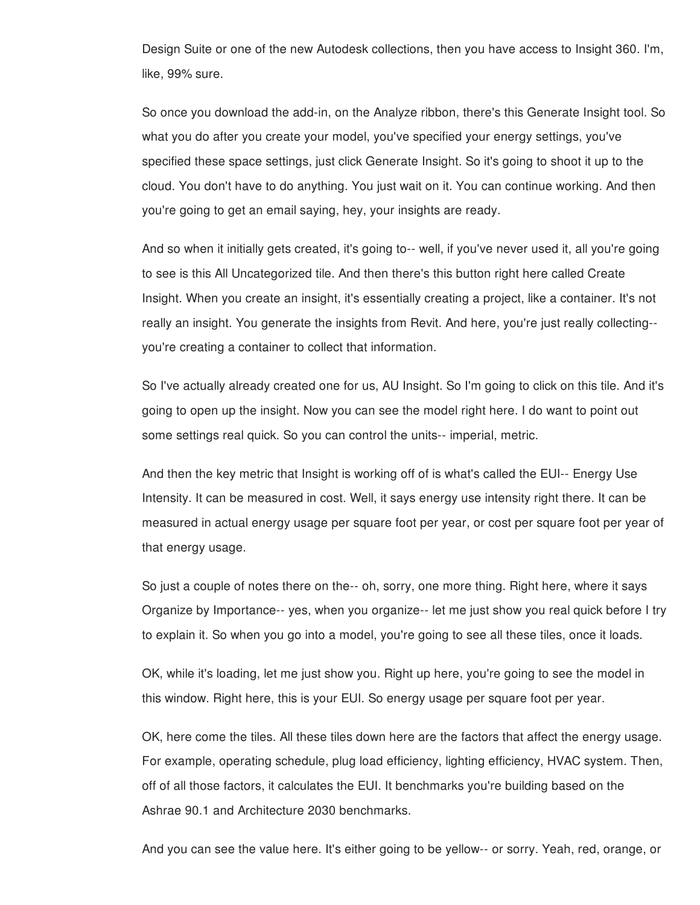Design Suite or one of the new Autodesk collections, then you have access to Insight 360. I'm, like, 99% sure.

So once you download the add-in, on the Analyze ribbon, there's this Generate Insight tool. So what you do after you create your model, you've specified your energy settings, you've specified these space settings, just click Generate Insight. So it's going to shoot it up to the cloud. You don't have to do anything. You just wait on it. You can continue working. And then you're going to get an email saying, hey, your insights are ready.

And so when it initially gets created, it's going to-- well, if you've never used it, all you're going to see is this All Uncategorized tile. And then there's this button right here called Create Insight. When you create an insight, it's essentially creating a project, like a container. It's not really an insight. You generate the insights from Revit. And here, you're just really collecting- you're creating a container to collect that information.

So I've actually already created one for us, AU Insight. So I'm going to click on this tile. And it's going to open up the insight. Now you can see the model right here. I do want to point out some settings real quick. So you can control the units-- imperial, metric.

And then the key metric that Insight is working off of is what's called the EUI-- Energy Use Intensity. It can be measured in cost. Well, it says energy use intensity right there. It can be measured in actual energy usage per square foot per year, or cost per square foot per year of that energy usage.

So just a couple of notes there on the-- oh, sorry, one more thing. Right here, where it says Organize by Importance-- yes, when you organize-- let me just show you real quick before I try to explain it. So when you go into a model, you're going to see all these tiles, once it loads.

OK, while it's loading, let me just show you. Right up here, you're going to see the model in this window. Right here, this is your EUI. So energy usage per square foot per year.

OK, here come the tiles. All these tiles down here are the factors that affect the energy usage. For example, operating schedule, plug load efficiency, lighting efficiency, HVAC system. Then, off of all those factors, it calculates the EUI. It benchmarks you're building based on the Ashrae 90.1 and Architecture 2030 benchmarks.

And you can see the value here. It's either going to be yellow-- or sorry. Yeah, red, orange, or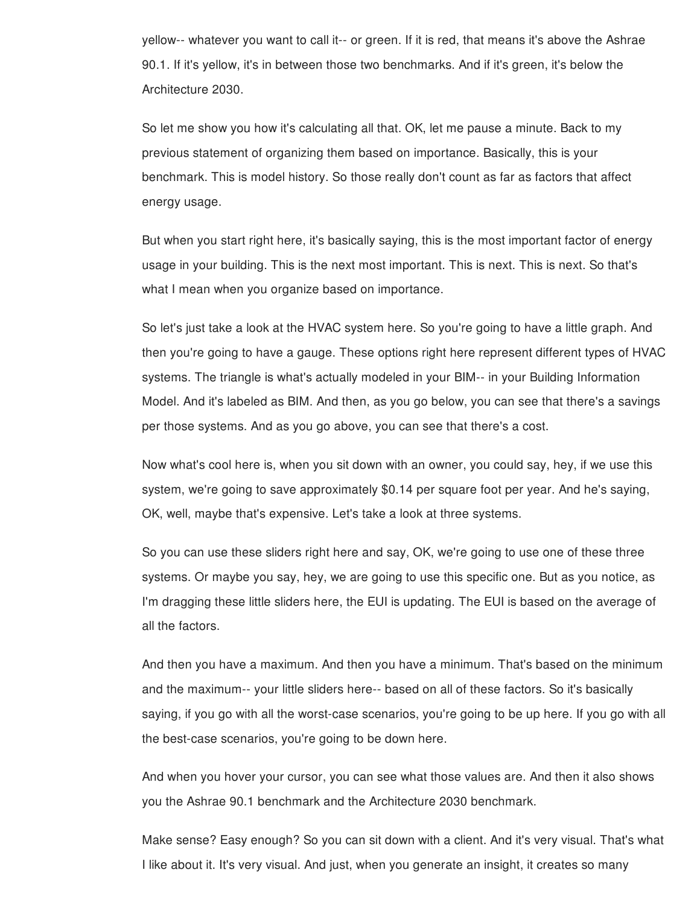yellow-- whatever you want to call it-- or green. If it is red, that means it's above the Ashrae 90.1. If it's yellow, it's in between those two benchmarks. And if it's green, it's below the Architecture 2030.

So let me show you how it's calculating all that. OK, let me pause a minute. Back to my previous statement of organizing them based on importance. Basically, this is your benchmark. This is model history. So those really don't count as far as factors that affect energy usage.

But when you start right here, it's basically saying, this is the most important factor of energy usage in your building. This is the next most important. This is next. This is next. So that's what I mean when you organize based on importance.

So let's just take a look at the HVAC system here. So you're going to have a little graph. And then you're going to have a gauge. These options right here represent different types of HVAC systems. The triangle is what's actually modeled in your BIM-- in your Building Information Model. And it's labeled as BIM. And then, as you go below, you can see that there's a savings per those systems. And as you go above, you can see that there's a cost.

Now what's cool here is, when you sit down with an owner, you could say, hey, if we use this system, we're going to save approximately \$0.14 per square foot per year. And he's saying, OK, well, maybe that's expensive. Let's take a look at three systems.

So you can use these sliders right here and say, OK, we're going to use one of these three systems. Or maybe you say, hey, we are going to use this specific one. But as you notice, as I'm dragging these little sliders here, the EUI is updating. The EUI is based on the average of all the factors.

And then you have a maximum. And then you have a minimum. That's based on the minimum and the maximum-- your little sliders here-- based on all of these factors. So it's basically saying, if you go with all the worst-case scenarios, you're going to be up here. If you go with all the best-case scenarios, you're going to be down here.

And when you hover your cursor, you can see what those values are. And then it also shows you the Ashrae 90.1 benchmark and the Architecture 2030 benchmark.

Make sense? Easy enough? So you can sit down with a client. And it's very visual. That's what I like about it. It's very visual. And just, when you generate an insight, it creates so many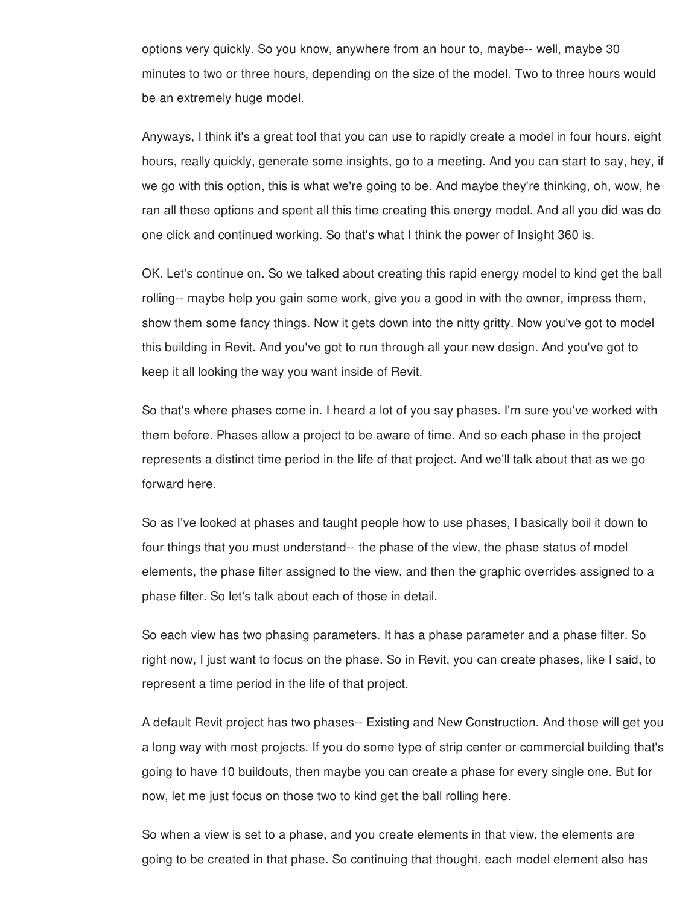options very quickly. So you know, anywhere from an hour to, maybe-- well, maybe 30 minutes to two or three hours, depending on the size of the model. Two to three hours would be an extremely huge model.

Anyways, I think it's a great tool that you can use to rapidly create a model in four hours, eight hours, really quickly, generate some insights, go to a meeting. And you can start to say, hey, if we go with this option, this is what we're going to be. And maybe they're thinking, oh, wow, he ran all these options and spent all this time creating this energy model. And all you did was do one click and continued working. So that's what I think the power of Insight 360 is.

OK. Let's continue on. So we talked about creating this rapid energy model to kind get the ball rolling-- maybe help you gain some work, give you a good in with the owner, impress them, show them some fancy things. Now it gets down into the nitty gritty. Now you've got to model this building in Revit. And you've got to run through all your new design. And you've got to keep it all looking the way you want inside of Revit.

So that's where phases come in. I heard a lot of you say phases. I'm sure you've worked with them before. Phases allow a project to be aware of time. And so each phase in the project represents a distinct time period in the life of that project. And we'll talk about that as we go forward here.

So as I've looked at phases and taught people how to use phases, I basically boil it down to four things that you must understand-- the phase of the view, the phase status of model elements, the phase filter assigned to the view, and then the graphic overrides assigned to a phase filter. So let's talk about each of those in detail.

So each view has two phasing parameters. It has a phase parameter and a phase filter. So right now, I just want to focus on the phase. So in Revit, you can create phases, like I said, to represent a time period in the life of that project.

A default Revit project has two phases-- Existing and New Construction. And those will get you a long way with most projects. If you do some type of strip center or commercial building that's going to have 10 buildouts, then maybe you can create a phase for every single one. But for now, let me just focus on those two to kind get the ball rolling here.

So when a view is set to a phase, and you create elements in that view, the elements are going to be created in that phase. So continuing that thought, each model element also has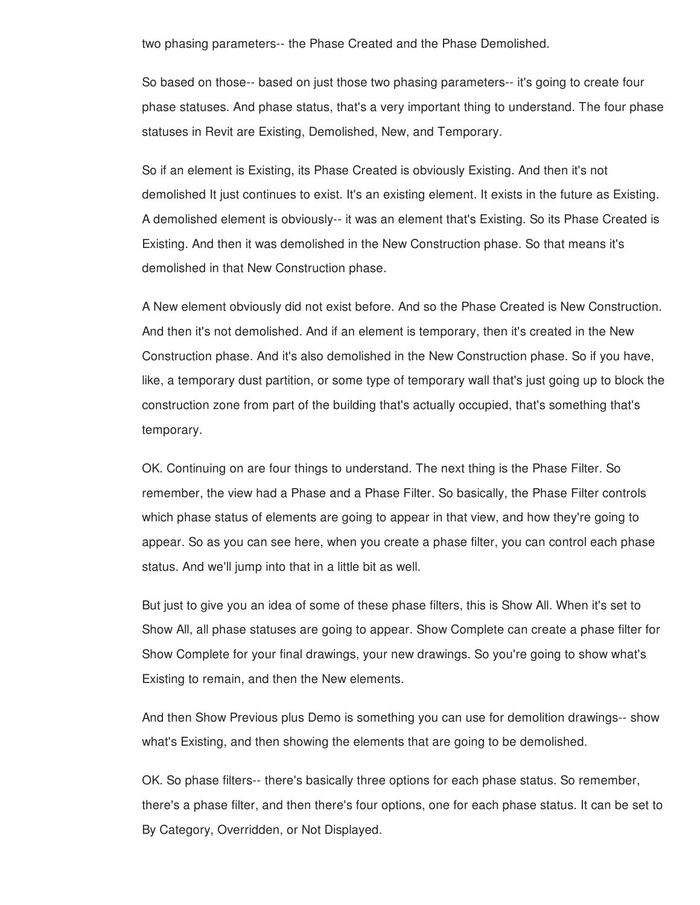two phasing parameters-- the Phase Created and the Phase Demolished.

So based on those-- based on just those two phasing parameters-- it's going to create four phase statuses. And phase status, that's a very important thing to understand. The four phase statuses in Revit are Existing, Demolished, New, and Temporary.

So if an element is Existing, its Phase Created is obviously Existing. And then it's not demolished It just continues to exist. It's an existing element. It exists in the future as Existing. A demolished element is obviously-- it was an element that's Existing. So its Phase Created is Existing. And then it was demolished in the New Construction phase. So that means it's demolished in that New Construction phase.

A New element obviously did not exist before. And so the Phase Created is New Construction. And then it's not demolished. And if an element is temporary, then it's created in the New Construction phase. And it's also demolished in the New Construction phase. So if you have, like, a temporary dust partition, or some type of temporary wall that's just going up to block the construction zone from part of the building that's actually occupied, that's something that's temporary.

OK. Continuing on are four things to understand. The next thing is the Phase Filter. So remember, the view had a Phase and a Phase Filter. So basically, the Phase Filter controls which phase status of elements are going to appear in that view, and how they're going to appear. So as you can see here, when you create a phase filter, you can control each phase status. And we'll jump into that in a little bit as well.

But just to give you an idea of some of these phase filters, this is Show All. When it's set to Show All, all phase statuses are going to appear. Show Complete can create a phase filter for Show Complete for your final drawings, your new drawings. So you're going to show what's Existing to remain, and then the New elements.

And then Show Previous plus Demo is something you can use for demolition drawings-- show what's Existing, and then showing the elements that are going to be demolished.

OK. So phase filters-- there's basically three options for each phase status. So remember, there's a phase filter, and then there's four options, one for each phase status. It can be set to By Category, Overridden, or Not Displayed.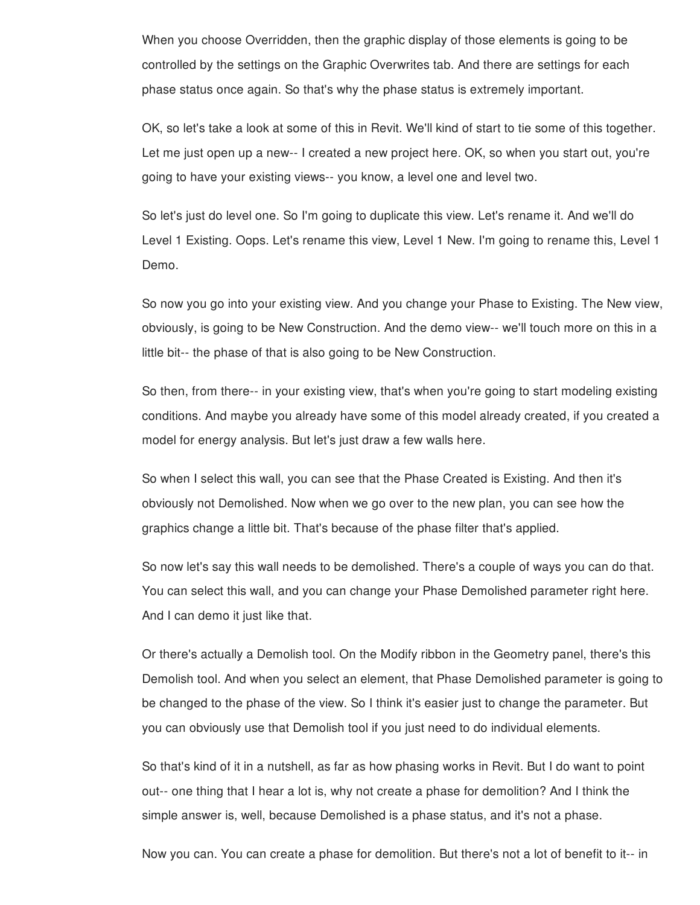When you choose Overridden, then the graphic display of those elements is going to be controlled by the settings on the Graphic Overwrites tab. And there are settings for each phase status once again. So that's why the phase status is extremely important.

OK, so let's take a look at some of this in Revit. We'll kind of start to tie some of this together. Let me just open up a new-- I created a new project here. OK, so when you start out, you're going to have your existing views-- you know, a level one and level two.

So let's just do level one. So I'm going to duplicate this view. Let's rename it. And we'll do Level 1 Existing. Oops. Let's rename this view, Level 1 New. I'm going to rename this, Level 1 Demo.

So now you go into your existing view. And you change your Phase to Existing. The New view, obviously, is going to be New Construction. And the demo view-- we'll touch more on this in a little bit-- the phase of that is also going to be New Construction.

So then, from there-- in your existing view, that's when you're going to start modeling existing conditions. And maybe you already have some of this model already created, if you created a model for energy analysis. But let's just draw a few walls here.

So when I select this wall, you can see that the Phase Created is Existing. And then it's obviously not Demolished. Now when we go over to the new plan, you can see how the graphics change a little bit. That's because of the phase filter that's applied.

So now let's say this wall needs to be demolished. There's a couple of ways you can do that. You can select this wall, and you can change your Phase Demolished parameter right here. And I can demo it just like that.

Or there's actually a Demolish tool. On the Modify ribbon in the Geometry panel, there's this Demolish tool. And when you select an element, that Phase Demolished parameter is going to be changed to the phase of the view. So I think it's easier just to change the parameter. But you can obviously use that Demolish tool if you just need to do individual elements.

So that's kind of it in a nutshell, as far as how phasing works in Revit. But I do want to point out-- one thing that I hear a lot is, why not create a phase for demolition? And I think the simple answer is, well, because Demolished is a phase status, and it's not a phase.

Now you can. You can create a phase for demolition. But there's not a lot of benefit to it-- in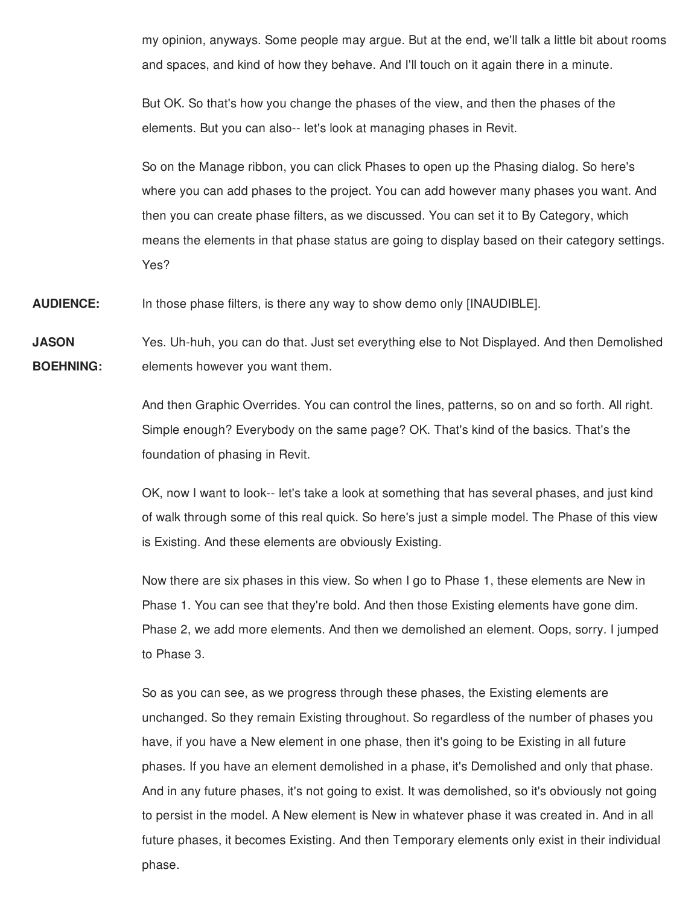my opinion, anyways. Some people may argue. But at the end, we'll talk a little bit about rooms and spaces, and kind of how they behave. And I'll touch on it again there in a minute.

But OK. So that's how you change the phases of the view, and then the phases of the elements. But you can also-- let's look at managing phases in Revit.

So on the Manage ribbon, you can click Phases to open up the Phasing dialog. So here's where you can add phases to the project. You can add however many phases you want. And then you can create phase filters, as we discussed. You can set it to By Category, which means the elements in that phase status are going to display based on their category settings. Yes?

**AUDIENCE:** In those phase filters, is there any way to show demo only [INAUDIBLE].

**JASON BOEHNING:** Yes. Uh-huh, you can do that. Just set everything else to Not Displayed. And then Demolished elements however you want them.

> And then Graphic Overrides. You can control the lines, patterns, so on and so forth. All right. Simple enough? Everybody on the same page? OK. That's kind of the basics. That's the foundation of phasing in Revit.

OK, now I want to look-- let's take a look at something that has several phases, and just kind of walk through some of this real quick. So here's just a simple model. The Phase of this view is Existing. And these elements are obviously Existing.

Now there are six phases in this view. So when I go to Phase 1, these elements are New in Phase 1. You can see that they're bold. And then those Existing elements have gone dim. Phase 2, we add more elements. And then we demolished an element. Oops, sorry. I jumped to Phase 3.

So as you can see, as we progress through these phases, the Existing elements are unchanged. So they remain Existing throughout. So regardless of the number of phases you have, if you have a New element in one phase, then it's going to be Existing in all future phases. If you have an element demolished in a phase, it's Demolished and only that phase. And in any future phases, it's not going to exist. It was demolished, so it's obviously not going to persist in the model. A New element is New in whatever phase it was created in. And in all future phases, it becomes Existing. And then Temporary elements only exist in their individual phase.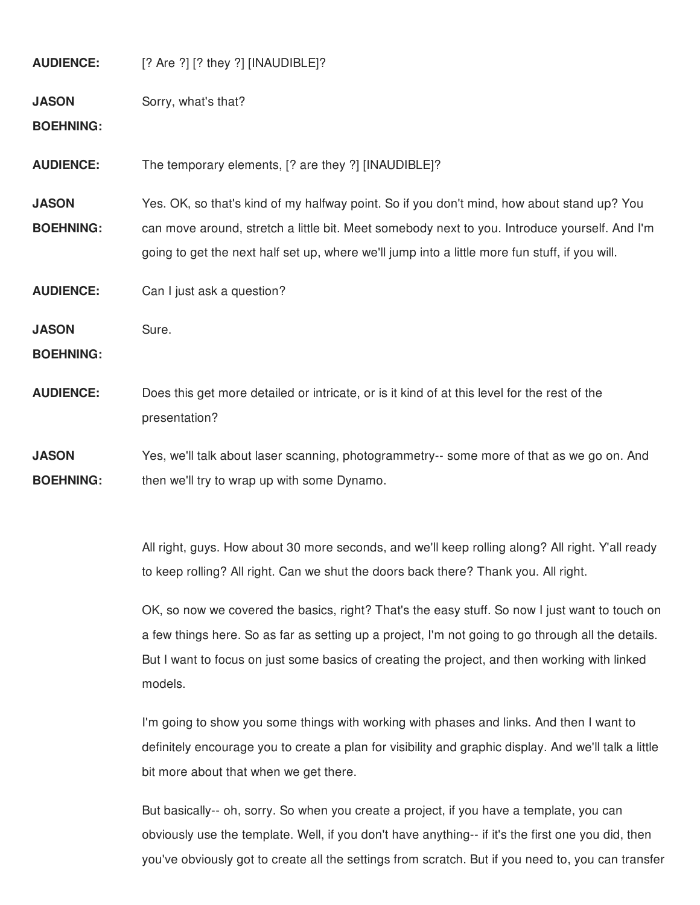| <b>AUDIENCE:</b>                 | [? Are ?] [? they ?] [INAUDIBLE]?                                                                                                                                                                                                                                                             |
|----------------------------------|-----------------------------------------------------------------------------------------------------------------------------------------------------------------------------------------------------------------------------------------------------------------------------------------------|
| <b>JASON</b><br><b>BOEHNING:</b> | Sorry, what's that?                                                                                                                                                                                                                                                                           |
| <b>AUDIENCE:</b>                 | The temporary elements, [? are they ?] [INAUDIBLE]?                                                                                                                                                                                                                                           |
| <b>JASON</b><br><b>BOEHNING:</b> | Yes. OK, so that's kind of my halfway point. So if you don't mind, how about stand up? You<br>can move around, stretch a little bit. Meet somebody next to you. Introduce yourself. And I'm<br>going to get the next half set up, where we'll jump into a little more fun stuff, if you will. |
| <b>AUDIENCE:</b>                 | Can I just ask a question?                                                                                                                                                                                                                                                                    |
| <b>JASON</b><br><b>BOEHNING:</b> | Sure.                                                                                                                                                                                                                                                                                         |
| <b>AUDIENCE:</b>                 | Does this get more detailed or intricate, or is it kind of at this level for the rest of the<br>presentation?                                                                                                                                                                                 |
| <b>JASON</b><br><b>BOEHNING:</b> | Yes, we'll talk about laser scanning, photogrammetry-- some more of that as we go on. And<br>then we'll try to wrap up with some Dynamo.                                                                                                                                                      |

All right, guys. How about 30 more seconds, and we'll keep rolling along? All right. Y'all ready to keep rolling? All right. Can we shut the doors back there? Thank you. All right.

OK, so now we covered the basics, right? That's the easy stuff. So now I just want to touch on a few things here. So as far as setting up a project, I'm not going to go through all the details. But I want to focus on just some basics of creating the project, and then working with linked models.

I'm going to show you some things with working with phases and links. And then I want to definitely encourage you to create a plan for visibility and graphic display. And we'll talk a little bit more about that when we get there.

But basically-- oh, sorry. So when you create a project, if you have a template, you can obviously use the template. Well, if you don't have anything-- if it's the first one you did, then you've obviously got to create all the settings from scratch. But if you need to, you can transfer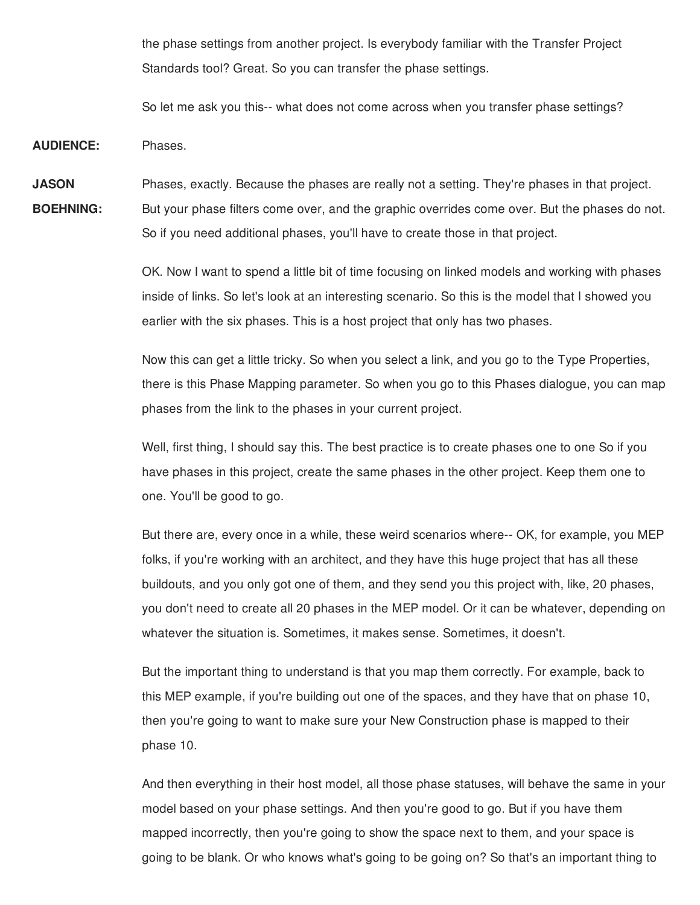the phase settings from another project. Is everybody familiar with the Transfer Project Standards tool? Great. So you can transfer the phase settings.

So let me ask you this-- what does not come across when you transfer phase settings?

**AUDIENCE:** Phases.

**JASON BOEHNING:** Phases, exactly. Because the phases are really not a setting. They're phases in that project. But your phase filters come over, and the graphic overrides come over. But the phases do not. So if you need additional phases, you'll have to create those in that project.

> OK. Now I want to spend a little bit of time focusing on linked models and working with phases inside of links. So let's look at an interesting scenario. So this is the model that I showed you earlier with the six phases. This is a host project that only has two phases.

> Now this can get a little tricky. So when you select a link, and you go to the Type Properties, there is this Phase Mapping parameter. So when you go to this Phases dialogue, you can map phases from the link to the phases in your current project.

Well, first thing, I should say this. The best practice is to create phases one to one So if you have phases in this project, create the same phases in the other project. Keep them one to one. You'll be good to go.

But there are, every once in a while, these weird scenarios where-- OK, for example, you MEP folks, if you're working with an architect, and they have this huge project that has all these buildouts, and you only got one of them, and they send you this project with, like, 20 phases, you don't need to create all 20 phases in the MEP model. Or it can be whatever, depending on whatever the situation is. Sometimes, it makes sense. Sometimes, it doesn't.

But the important thing to understand is that you map them correctly. For example, back to this MEP example, if you're building out one of the spaces, and they have that on phase 10, then you're going to want to make sure your New Construction phase is mapped to their phase 10.

And then everything in their host model, all those phase statuses, will behave the same in your model based on your phase settings. And then you're good to go. But if you have them mapped incorrectly, then you're going to show the space next to them, and your space is going to be blank. Or who knows what's going to be going on? So that's an important thing to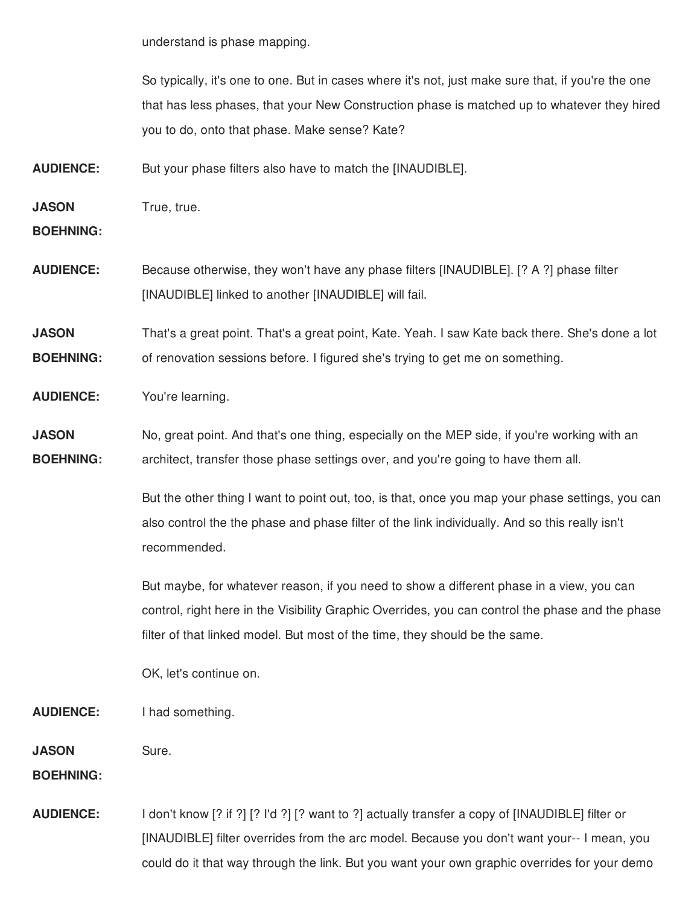understand is phase mapping.

So typically, it's one to one. But in cases where it's not, just make sure that, if you're the one that has less phases, that your New Construction phase is matched up to whatever they hired you to do, onto that phase. Make sense? Kate?

**AUDIENCE:** But your phase filters also have to match the [INAUDIBLE].

**JASON** True, true.

**BOEHNING:**

**AUDIENCE:** Because otherwise, they won't have any phase filters [INAUDIBLE]. [? A ?] phase filter [INAUDIBLE] linked to another [INAUDIBLE] will fail.

**JASON BOEHNING:** That's a great point. That's a great point, Kate. Yeah. I saw Kate back there. She's done a lot of renovation sessions before. I figured she's trying to get me on something.

**AUDIENCE:** You're learning.

**JASON BOEHNING:** No, great point. And that's one thing, especially on the MEP side, if you're working with an architect, transfer those phase settings over, and you're going to have them all.

> But the other thing I want to point out, too, is that, once you map your phase settings, you can also control the the phase and phase filter of the link individually. And so this really isn't recommended.

> But maybe, for whatever reason, if you need to show a different phase in a view, you can control, right here in the Visibility Graphic Overrides, you can control the phase and the phase filter of that linked model. But most of the time, they should be the same.

OK, let's continue on.

**AUDIENCE:** I had something.

**JASON** Sure.

**BOEHNING:**

**AUDIENCE:** I don't know [? if ?] [? I'd ?] [? want to ?] actually transfer a copy of [INAUDIBLE] filter or [INAUDIBLE] filter overrides from the arc model. Because you don't want your-- I mean, you could do it that way through the link. But you want your own graphic overrides for your demo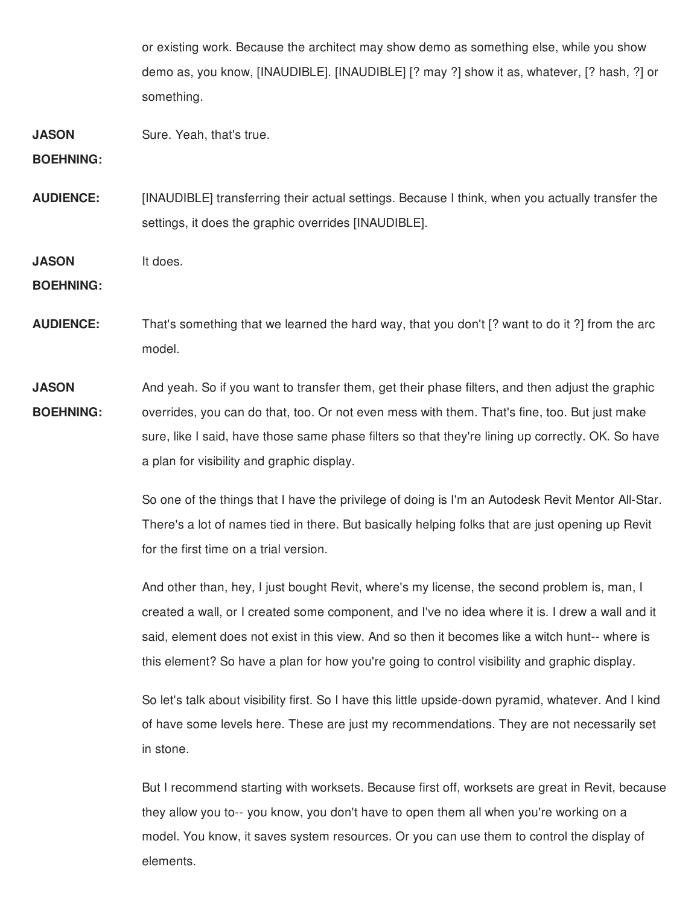or existing work. Because the architect may show demo as something else, while you show demo as, you know, [INAUDIBLE]. [INAUDIBLE] [? may ?] show it as, whatever, [? hash, ?] or something.

**JASON** Sure. Yeah, that's true.

**BOEHNING:**

**AUDIENCE:** [INAUDIBLE] transferring their actual settings. Because I think, when you actually transfer the settings, it does the graphic overrides [INAUDIBLE].

**JASON** It does.

**BOEHNING:**

**AUDIENCE:** That's something that we learned the hard way, that you don't [? want to do it ?] from the arc model.

**JASON BOEHNING:** And yeah. So if you want to transfer them, get their phase filters, and then adjust the graphic overrides, you can do that, too. Or not even mess with them. That's fine, too. But just make sure, like I said, have those same phase filters so that they're lining up correctly. OK. So have a plan for visibility and graphic display.

> So one of the things that I have the privilege of doing is I'm an Autodesk Revit Mentor All-Star. There's a lot of names tied in there. But basically helping folks that are just opening up Revit for the first time on a trial version.

> And other than, hey, I just bought Revit, where's my license, the second problem is, man, I created a wall, or I created some component, and I've no idea where it is. I drew a wall and it said, element does not exist in this view. And so then it becomes like a witch hunt-- where is this element? So have a plan for how you're going to control visibility and graphic display.

> So let's talk about visibility first. So I have this little upside-down pyramid, whatever. And I kind of have some levels here. These are just my recommendations. They are not necessarily set in stone.

But I recommend starting with worksets. Because first off, worksets are great in Revit, because they allow you to-- you know, you don't have to open them all when you're working on a model. You know, it saves system resources. Or you can use them to control the display of elements.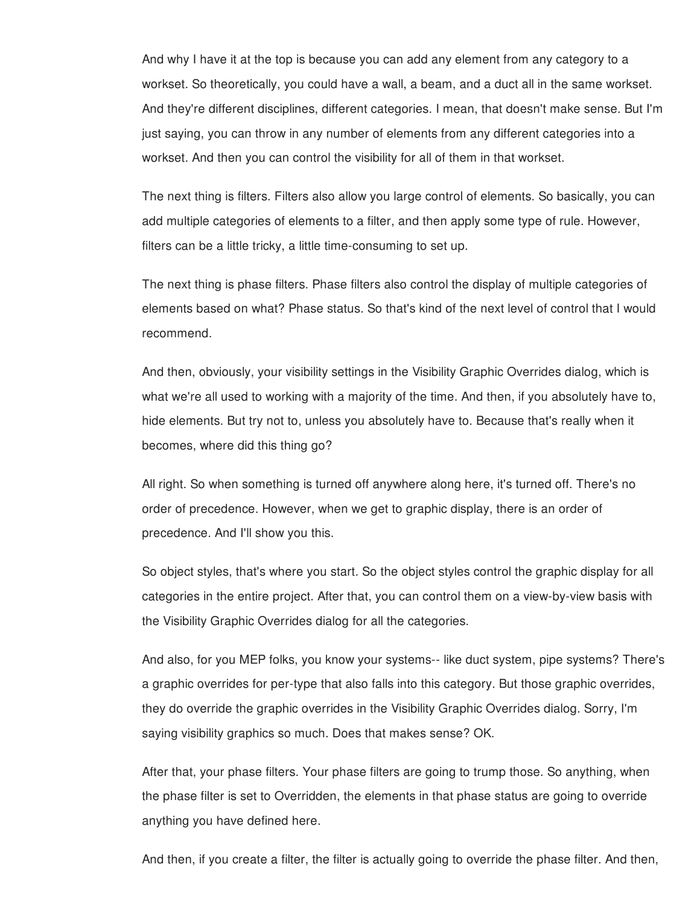And why I have it at the top is because you can add any element from any category to a workset. So theoretically, you could have a wall, a beam, and a duct all in the same workset. And they're different disciplines, different categories. I mean, that doesn't make sense. But I'm just saying, you can throw in any number of elements from any different categories into a workset. And then you can control the visibility for all of them in that workset.

The next thing is filters. Filters also allow you large control of elements. So basically, you can add multiple categories of elements to a filter, and then apply some type of rule. However, filters can be a little tricky, a little time-consuming to set up.

The next thing is phase filters. Phase filters also control the display of multiple categories of elements based on what? Phase status. So that's kind of the next level of control that I would recommend.

And then, obviously, your visibility settings in the Visibility Graphic Overrides dialog, which is what we're all used to working with a majority of the time. And then, if you absolutely have to, hide elements. But try not to, unless you absolutely have to. Because that's really when it becomes, where did this thing go?

All right. So when something is turned off anywhere along here, it's turned off. There's no order of precedence. However, when we get to graphic display, there is an order of precedence. And I'll show you this.

So object styles, that's where you start. So the object styles control the graphic display for all categories in the entire project. After that, you can control them on a view-by-view basis with the Visibility Graphic Overrides dialog for all the categories.

And also, for you MEP folks, you know your systems-- like duct system, pipe systems? There's a graphic overrides for per-type that also falls into this category. But those graphic overrides, they do override the graphic overrides in the Visibility Graphic Overrides dialog. Sorry, I'm saying visibility graphics so much. Does that makes sense? OK.

After that, your phase filters. Your phase filters are going to trump those. So anything, when the phase filter is set to Overridden, the elements in that phase status are going to override anything you have defined here.

And then, if you create a filter, the filter is actually going to override the phase filter. And then,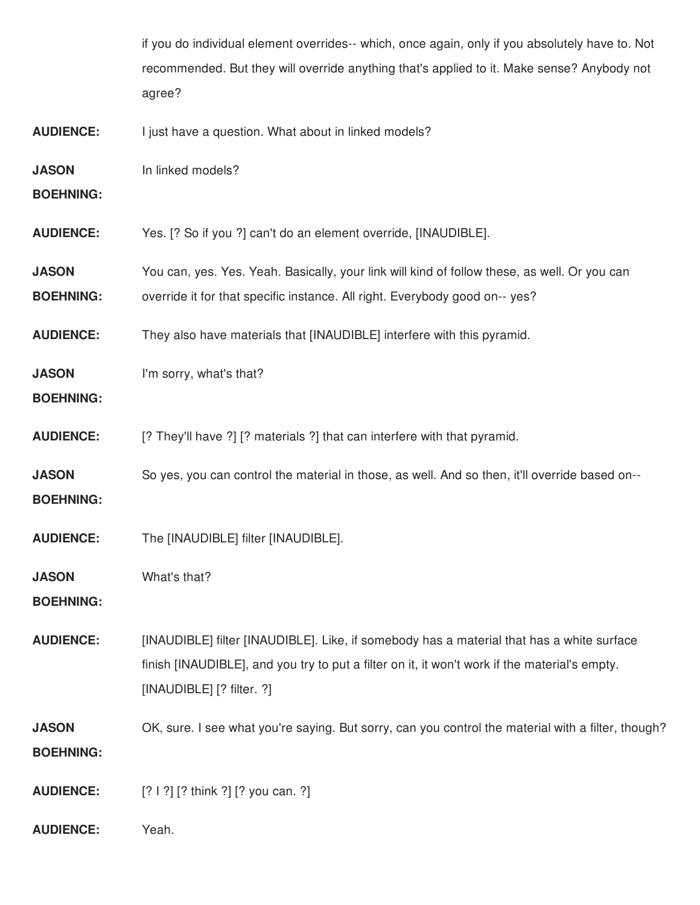if you do individual element overrides-- which, once again, only if you absolutely have to. Not recommended. But they will override anything that's applied to it. Make sense? Anybody not agree?

**AUDIENCE:** I just have a question. What about in linked models?

**JASON** In linked models?

**BOEHNING:**

**AUDIENCE:** Yes. [? So if you ?] can't do an element override, [INAUDIBLE].

**JASON** You can, yes. Yes. Yeah. Basically, your link will kind of follow these, as well. Or you can

**BOEHNING:** override it for that specific instance. All right. Everybody good on-- yes?

**AUDIENCE:** They also have materials that [INAUDIBLE] interfere with this pyramid.

**JASON** I'm sorry, what's that?

**BOEHNING:**

**AUDIENCE:** [? They'll have ?] [? materials ?] that can interfere with that pyramid.

**JASON BOEHNING:** So yes, you can control the material in those, as well. And so then, it'll override based on--

**AUDIENCE:** The [INAUDIBLE] filter [INAUDIBLE].

**JASON** What's that?

**BOEHNING:**

**AUDIENCE:** [INAUDIBLE] filter [INAUDIBLE]. Like, if somebody has a material that has a white surface finish [INAUDIBLE], and you try to put a filter on it, it won't work if the material's empty. [INAUDIBLE] [? filter. ?]

**JASON BOEHNING:** OK, sure. I see what you're saying. But sorry, can you control the material with a filter, though?

**AUDIENCE:** [? I ?] [? think ?] [? you can. ?]

**AUDIENCE:** Yeah.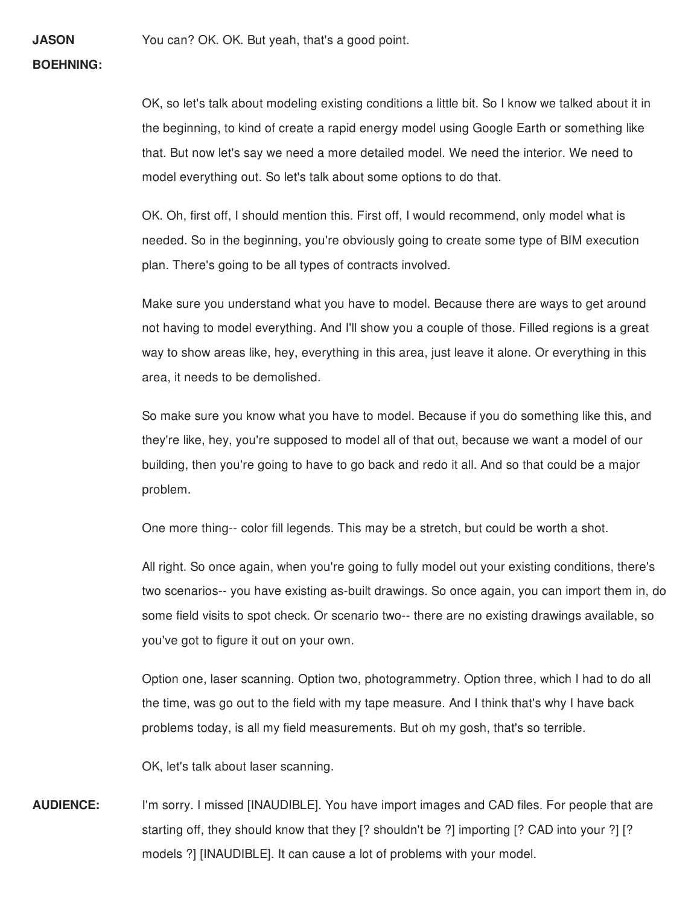## **BOEHNING:**

**JASON**

OK, so let's talk about modeling existing conditions a little bit. So I know we talked about it in the beginning, to kind of create a rapid energy model using Google Earth or something like that. But now let's say we need a more detailed model. We need the interior. We need to model everything out. So let's talk about some options to do that.

OK. Oh, first off, I should mention this. First off, I would recommend, only model what is needed. So in the beginning, you're obviously going to create some type of BIM execution plan. There's going to be all types of contracts involved.

Make sure you understand what you have to model. Because there are ways to get around not having to model everything. And I'll show you a couple of those. Filled regions is a great way to show areas like, hey, everything in this area, just leave it alone. Or everything in this area, it needs to be demolished.

So make sure you know what you have to model. Because if you do something like this, and they're like, hey, you're supposed to model all of that out, because we want a model of our building, then you're going to have to go back and redo it all. And so that could be a major problem.

One more thing-- color fill legends. This may be a stretch, but could be worth a shot.

All right. So once again, when you're going to fully model out your existing conditions, there's two scenarios-- you have existing as-built drawings. So once again, you can import them in, do some field visits to spot check. Or scenario two-- there are no existing drawings available, so you've got to figure it out on your own.

Option one, laser scanning. Option two, photogrammetry. Option three, which I had to do all the time, was go out to the field with my tape measure. And I think that's why I have back problems today, is all my field measurements. But oh my gosh, that's so terrible.

OK, let's talk about laser scanning.

**AUDIENCE:** I'm sorry. I missed [INAUDIBLE]. You have import images and CAD files. For people that are starting off, they should know that they [? shouldn't be ?] importing [? CAD into your ?] [? models ?] [INAUDIBLE]. It can cause a lot of problems with your model.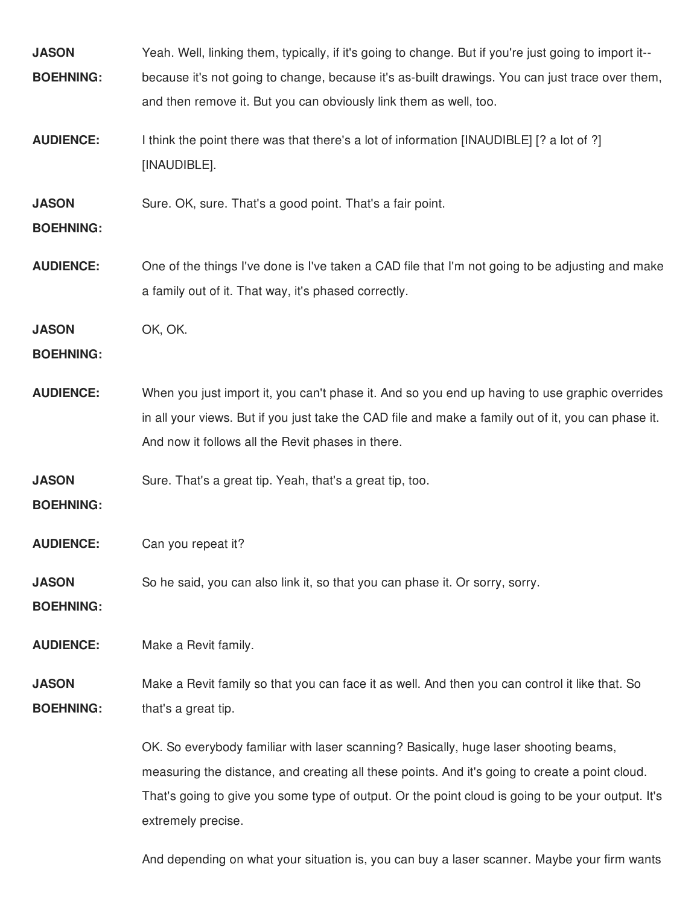| <b>JASON</b><br><b>BOEHNING:</b> | Yeah. Well, linking them, typically, if it's going to change. But if you're just going to import it--<br>because it's not going to change, because it's as-built drawings. You can just trace over them,<br>and then remove it. But you can obviously link them as well, too.                                     |
|----------------------------------|-------------------------------------------------------------------------------------------------------------------------------------------------------------------------------------------------------------------------------------------------------------------------------------------------------------------|
| <b>AUDIENCE:</b>                 | I think the point there was that there's a lot of information [INAUDIBLE] [? a lot of ?]<br>[INAUDIBLE].                                                                                                                                                                                                          |
| <b>JASON</b><br><b>BOEHNING:</b> | Sure. OK, sure. That's a good point. That's a fair point.                                                                                                                                                                                                                                                         |
| <b>AUDIENCE:</b>                 | One of the things I've done is I've taken a CAD file that I'm not going to be adjusting and make<br>a family out of it. That way, it's phased correctly.                                                                                                                                                          |
| <b>JASON</b><br><b>BOEHNING:</b> | OK, OK.                                                                                                                                                                                                                                                                                                           |
| <b>AUDIENCE:</b>                 | When you just import it, you can't phase it. And so you end up having to use graphic overrides<br>in all your views. But if you just take the CAD file and make a family out of it, you can phase it.<br>And now it follows all the Revit phases in there.                                                        |
| <b>JASON</b><br><b>BOEHNING:</b> | Sure. That's a great tip. Yeah, that's a great tip, too.                                                                                                                                                                                                                                                          |
| <b>AUDIENCE:</b>                 | Can you repeat it?                                                                                                                                                                                                                                                                                                |
| <b>JASON</b><br><b>BOEHNING:</b> | So he said, you can also link it, so that you can phase it. Or sorry, sorry.                                                                                                                                                                                                                                      |
| <b>AUDIENCE:</b>                 | Make a Revit family.                                                                                                                                                                                                                                                                                              |
| <b>JASON</b><br><b>BOEHNING:</b> | Make a Revit family so that you can face it as well. And then you can control it like that. So<br>that's a great tip.                                                                                                                                                                                             |
|                                  | OK. So everybody familiar with laser scanning? Basically, huge laser shooting beams,<br>measuring the distance, and creating all these points. And it's going to create a point cloud.<br>That's going to give you some type of output. Or the point cloud is going to be your output. It's<br>extremely precise. |

And depending on what your situation is, you can buy a laser scanner. Maybe your firm wants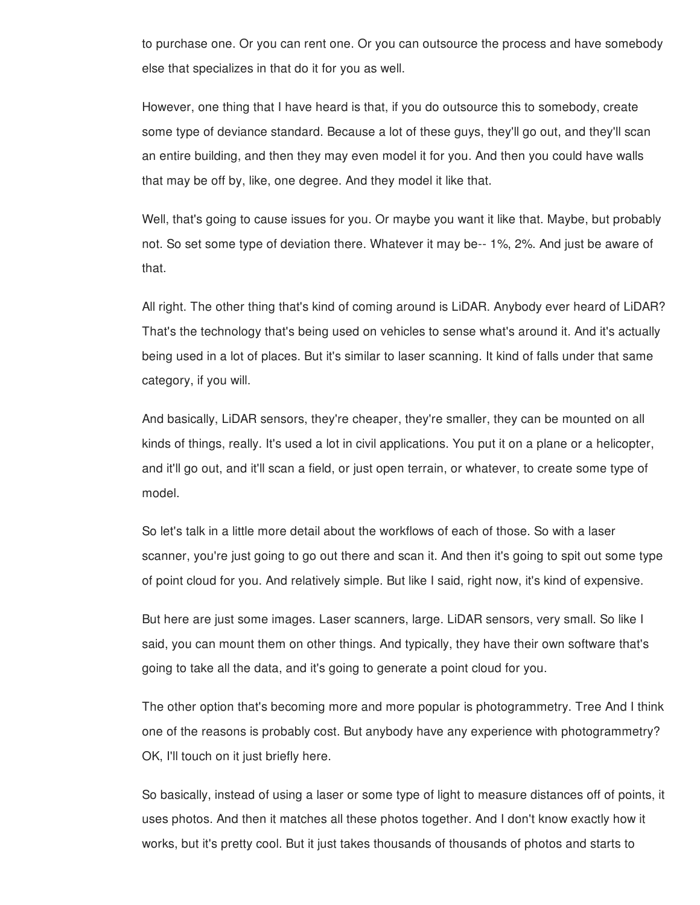to purchase one. Or you can rent one. Or you can outsource the process and have somebody else that specializes in that do it for you as well.

However, one thing that I have heard is that, if you do outsource this to somebody, create some type of deviance standard. Because a lot of these guys, they'll go out, and they'll scan an entire building, and then they may even model it for you. And then you could have walls that may be off by, like, one degree. And they model it like that.

Well, that's going to cause issues for you. Or maybe you want it like that. Maybe, but probably not. So set some type of deviation there. Whatever it may be-- 1%, 2%. And just be aware of that.

All right. The other thing that's kind of coming around is LiDAR. Anybody ever heard of LiDAR? That's the technology that's being used on vehicles to sense what's around it. And it's actually being used in a lot of places. But it's similar to laser scanning. It kind of falls under that same category, if you will.

And basically, LiDAR sensors, they're cheaper, they're smaller, they can be mounted on all kinds of things, really. It's used a lot in civil applications. You put it on a plane or a helicopter, and it'll go out, and it'll scan a field, or just open terrain, or whatever, to create some type of model.

So let's talk in a little more detail about the workflows of each of those. So with a laser scanner, you're just going to go out there and scan it. And then it's going to spit out some type of point cloud for you. And relatively simple. But like I said, right now, it's kind of expensive.

But here are just some images. Laser scanners, large. LiDAR sensors, very small. So like I said, you can mount them on other things. And typically, they have their own software that's going to take all the data, and it's going to generate a point cloud for you.

The other option that's becoming more and more popular is photogrammetry. Tree And I think one of the reasons is probably cost. But anybody have any experience with photogrammetry? OK, I'll touch on it just briefly here.

So basically, instead of using a laser or some type of light to measure distances off of points, it uses photos. And then it matches all these photos together. And I don't know exactly how it works, but it's pretty cool. But it just takes thousands of thousands of photos and starts to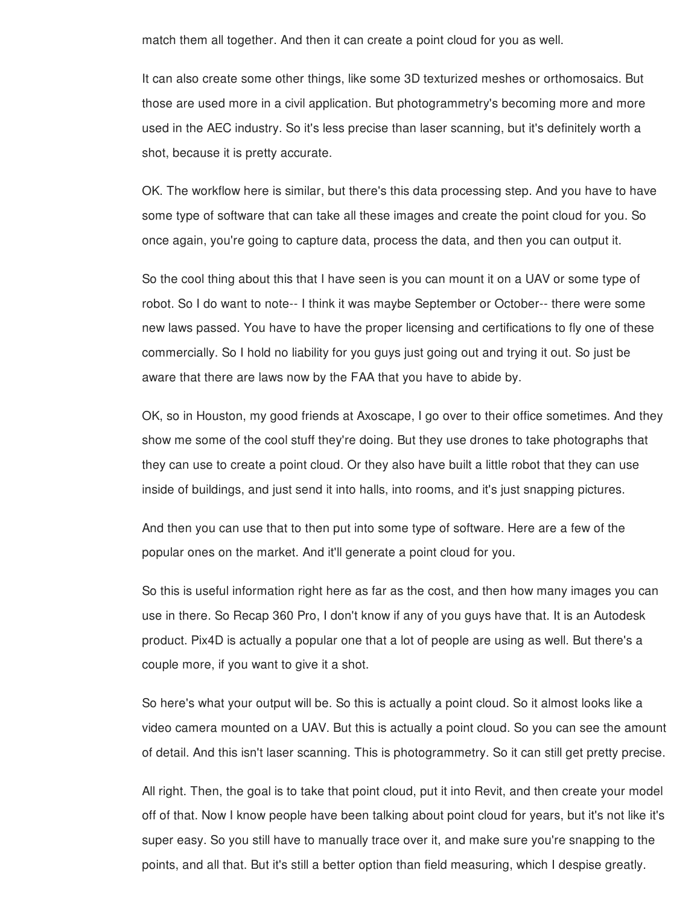match them all together. And then it can create a point cloud for you as well.

It can also create some other things, like some 3D texturized meshes or orthomosaics. But those are used more in a civil application. But photogrammetry's becoming more and more used in the AEC industry. So it's less precise than laser scanning, but it's definitely worth a shot, because it is pretty accurate.

OK. The workflow here is similar, but there's this data processing step. And you have to have some type of software that can take all these images and create the point cloud for you. So once again, you're going to capture data, process the data, and then you can output it.

So the cool thing about this that I have seen is you can mount it on a UAV or some type of robot. So I do want to note-- I think it was maybe September or October-- there were some new laws passed. You have to have the proper licensing and certifications to fly one of these commercially. So I hold no liability for you guys just going out and trying it out. So just be aware that there are laws now by the FAA that you have to abide by.

OK, so in Houston, my good friends at Axoscape, I go over to their office sometimes. And they show me some of the cool stuff they're doing. But they use drones to take photographs that they can use to create a point cloud. Or they also have built a little robot that they can use inside of buildings, and just send it into halls, into rooms, and it's just snapping pictures.

And then you can use that to then put into some type of software. Here are a few of the popular ones on the market. And it'll generate a point cloud for you.

So this is useful information right here as far as the cost, and then how many images you can use in there. So Recap 360 Pro, I don't know if any of you guys have that. It is an Autodesk product. Pix4D is actually a popular one that a lot of people are using as well. But there's a couple more, if you want to give it a shot.

So here's what your output will be. So this is actually a point cloud. So it almost looks like a video camera mounted on a UAV. But this is actually a point cloud. So you can see the amount of detail. And this isn't laser scanning. This is photogrammetry. So it can still get pretty precise.

All right. Then, the goal is to take that point cloud, put it into Revit, and then create your model off of that. Now I know people have been talking about point cloud for years, but it's not like it's super easy. So you still have to manually trace over it, and make sure you're snapping to the points, and all that. But it's still a better option than field measuring, which I despise greatly.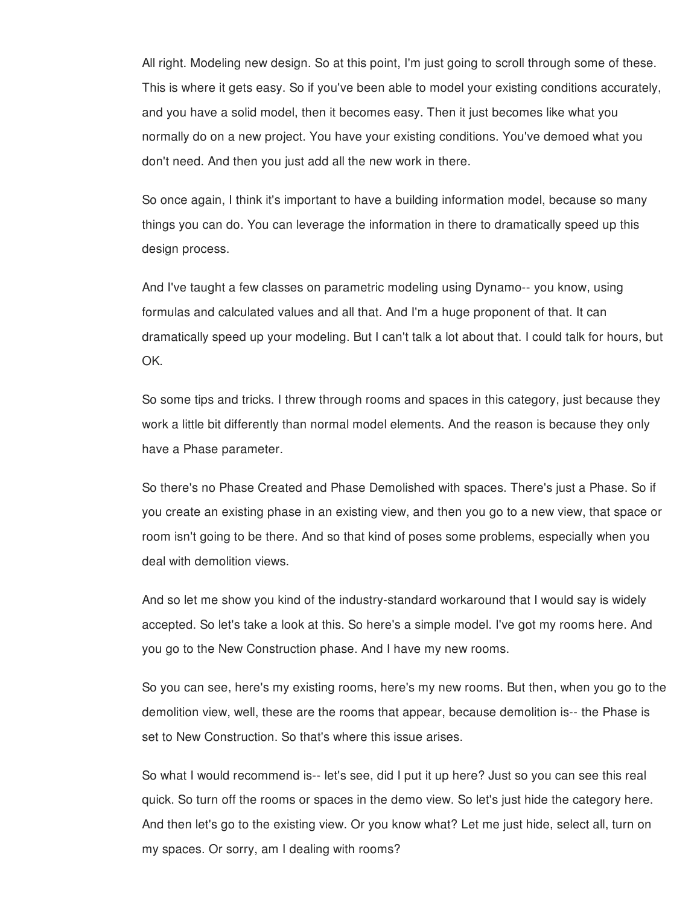All right. Modeling new design. So at this point, I'm just going to scroll through some of these. This is where it gets easy. So if you've been able to model your existing conditions accurately, and you have a solid model, then it becomes easy. Then it just becomes like what you normally do on a new project. You have your existing conditions. You've demoed what you don't need. And then you just add all the new work in there.

So once again, I think it's important to have a building information model, because so many things you can do. You can leverage the information in there to dramatically speed up this design process.

And I've taught a few classes on parametric modeling using Dynamo-- you know, using formulas and calculated values and all that. And I'm a huge proponent of that. It can dramatically speed up your modeling. But I can't talk a lot about that. I could talk for hours, but OK.

So some tips and tricks. I threw through rooms and spaces in this category, just because they work a little bit differently than normal model elements. And the reason is because they only have a Phase parameter.

So there's no Phase Created and Phase Demolished with spaces. There's just a Phase. So if you create an existing phase in an existing view, and then you go to a new view, that space or room isn't going to be there. And so that kind of poses some problems, especially when you deal with demolition views.

And so let me show you kind of the industry-standard workaround that I would say is widely accepted. So let's take a look at this. So here's a simple model. I've got my rooms here. And you go to the New Construction phase. And I have my new rooms.

So you can see, here's my existing rooms, here's my new rooms. But then, when you go to the demolition view, well, these are the rooms that appear, because demolition is-- the Phase is set to New Construction. So that's where this issue arises.

So what I would recommend is-- let's see, did I put it up here? Just so you can see this real quick. So turn off the rooms or spaces in the demo view. So let's just hide the category here. And then let's go to the existing view. Or you know what? Let me just hide, select all, turn on my spaces. Or sorry, am I dealing with rooms?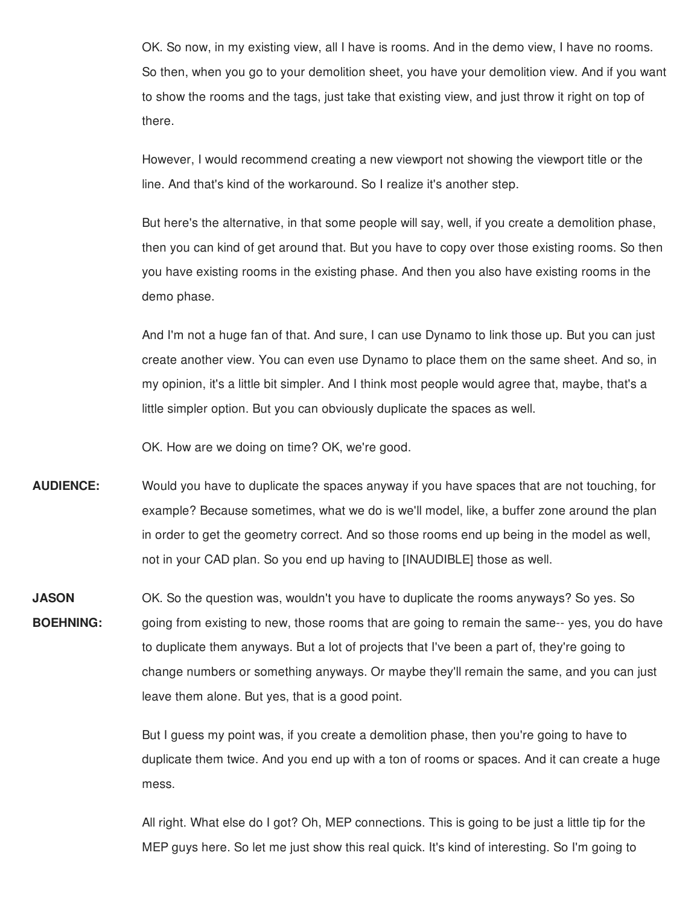OK. So now, in my existing view, all I have is rooms. And in the demo view, I have no rooms. So then, when you go to your demolition sheet, you have your demolition view. And if you want to show the rooms and the tags, just take that existing view, and just throw it right on top of there.

However, I would recommend creating a new viewport not showing the viewport title or the line. And that's kind of the workaround. So I realize it's another step.

But here's the alternative, in that some people will say, well, if you create a demolition phase, then you can kind of get around that. But you have to copy over those existing rooms. So then you have existing rooms in the existing phase. And then you also have existing rooms in the demo phase.

And I'm not a huge fan of that. And sure, I can use Dynamo to link those up. But you can just create another view. You can even use Dynamo to place them on the same sheet. And so, in my opinion, it's a little bit simpler. And I think most people would agree that, maybe, that's a little simpler option. But you can obviously duplicate the spaces as well.

OK. How are we doing on time? OK, we're good.

- **AUDIENCE:** Would you have to duplicate the spaces anyway if you have spaces that are not touching, for example? Because sometimes, what we do is we'll model, like, a buffer zone around the plan in order to get the geometry correct. And so those rooms end up being in the model as well, not in your CAD plan. So you end up having to [INAUDIBLE] those as well.
- **JASON BOEHNING:** OK. So the question was, wouldn't you have to duplicate the rooms anyways? So yes. So going from existing to new, those rooms that are going to remain the same-- yes, you do have to duplicate them anyways. But a lot of projects that I've been a part of, they're going to change numbers or something anyways. Or maybe they'll remain the same, and you can just leave them alone. But yes, that is a good point.

But I guess my point was, if you create a demolition phase, then you're going to have to duplicate them twice. And you end up with a ton of rooms or spaces. And it can create a huge mess.

All right. What else do I got? Oh, MEP connections. This is going to be just a little tip for the MEP guys here. So let me just show this real quick. It's kind of interesting. So I'm going to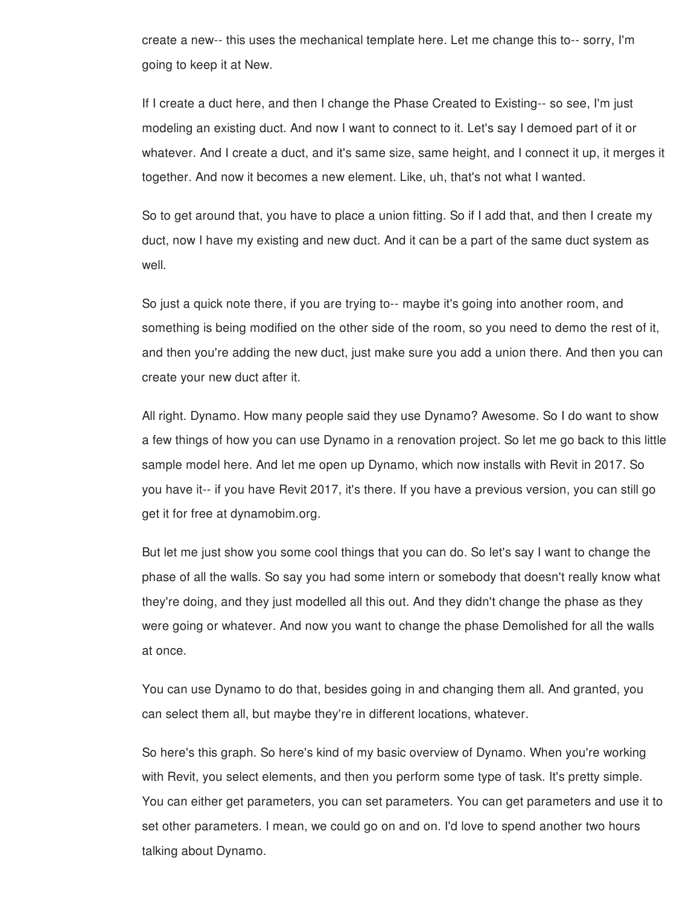create a new-- this uses the mechanical template here. Let me change this to-- sorry, I'm going to keep it at New.

If I create a duct here, and then I change the Phase Created to Existing-- so see, I'm just modeling an existing duct. And now I want to connect to it. Let's say I demoed part of it or whatever. And I create a duct, and it's same size, same height, and I connect it up, it merges it together. And now it becomes a new element. Like, uh, that's not what I wanted.

So to get around that, you have to place a union fitting. So if I add that, and then I create my duct, now I have my existing and new duct. And it can be a part of the same duct system as well.

So just a quick note there, if you are trying to-- maybe it's going into another room, and something is being modified on the other side of the room, so you need to demo the rest of it, and then you're adding the new duct, just make sure you add a union there. And then you can create your new duct after it.

All right. Dynamo. How many people said they use Dynamo? Awesome. So I do want to show a few things of how you can use Dynamo in a renovation project. So let me go back to this little sample model here. And let me open up Dynamo, which now installs with Revit in 2017. So you have it-- if you have Revit 2017, it's there. If you have a previous version, you can still go get it for free at dynamobim.org.

But let me just show you some cool things that you can do. So let's say I want to change the phase of all the walls. So say you had some intern or somebody that doesn't really know what they're doing, and they just modelled all this out. And they didn't change the phase as they were going or whatever. And now you want to change the phase Demolished for all the walls at once.

You can use Dynamo to do that, besides going in and changing them all. And granted, you can select them all, but maybe they're in different locations, whatever.

So here's this graph. So here's kind of my basic overview of Dynamo. When you're working with Revit, you select elements, and then you perform some type of task. It's pretty simple. You can either get parameters, you can set parameters. You can get parameters and use it to set other parameters. I mean, we could go on and on. I'd love to spend another two hours talking about Dynamo.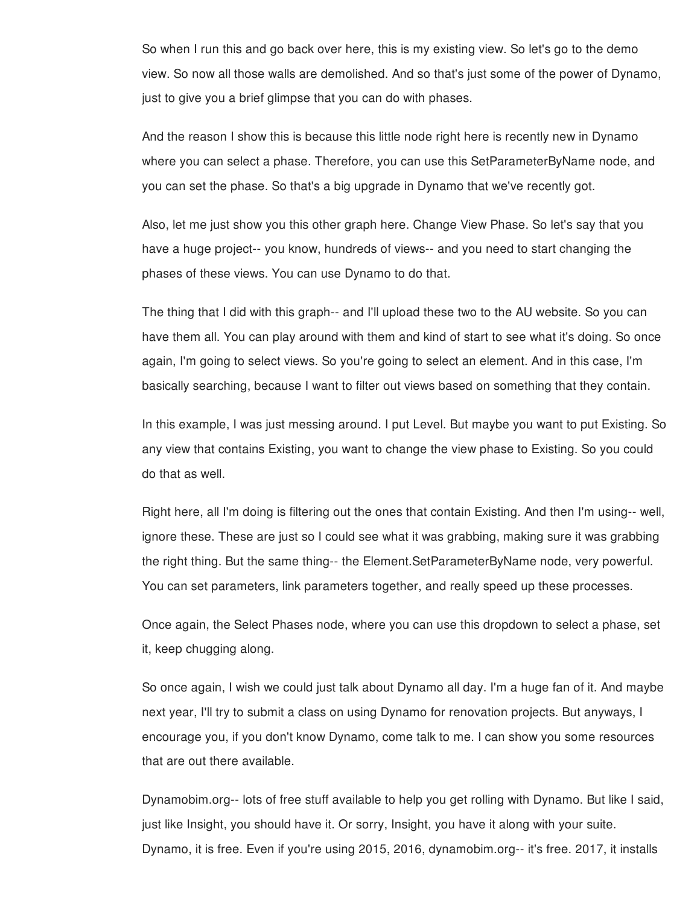So when I run this and go back over here, this is my existing view. So let's go to the demo view. So now all those walls are demolished. And so that's just some of the power of Dynamo, just to give you a brief glimpse that you can do with phases.

And the reason I show this is because this little node right here is recently new in Dynamo where you can select a phase. Therefore, you can use this SetParameterByName node, and you can set the phase. So that's a big upgrade in Dynamo that we've recently got.

Also, let me just show you this other graph here. Change View Phase. So let's say that you have a huge project-- you know, hundreds of views-- and you need to start changing the phases of these views. You can use Dynamo to do that.

The thing that I did with this graph-- and I'll upload these two to the AU website. So you can have them all. You can play around with them and kind of start to see what it's doing. So once again, I'm going to select views. So you're going to select an element. And in this case, I'm basically searching, because I want to filter out views based on something that they contain.

In this example, I was just messing around. I put Level. But maybe you want to put Existing. So any view that contains Existing, you want to change the view phase to Existing. So you could do that as well.

Right here, all I'm doing is filtering out the ones that contain Existing. And then I'm using-- well, ignore these. These are just so I could see what it was grabbing, making sure it was grabbing the right thing. But the same thing-- the Element.SetParameterByName node, very powerful. You can set parameters, link parameters together, and really speed up these processes.

Once again, the Select Phases node, where you can use this dropdown to select a phase, set it, keep chugging along.

So once again, I wish we could just talk about Dynamo all day. I'm a huge fan of it. And maybe next year, I'll try to submit a class on using Dynamo for renovation projects. But anyways, I encourage you, if you don't know Dynamo, come talk to me. I can show you some resources that are out there available.

Dynamobim.org-- lots of free stuff available to help you get rolling with Dynamo. But like I said, just like Insight, you should have it. Or sorry, Insight, you have it along with your suite. Dynamo, it is free. Even if you're using 2015, 2016, dynamobim.org-- it's free. 2017, it installs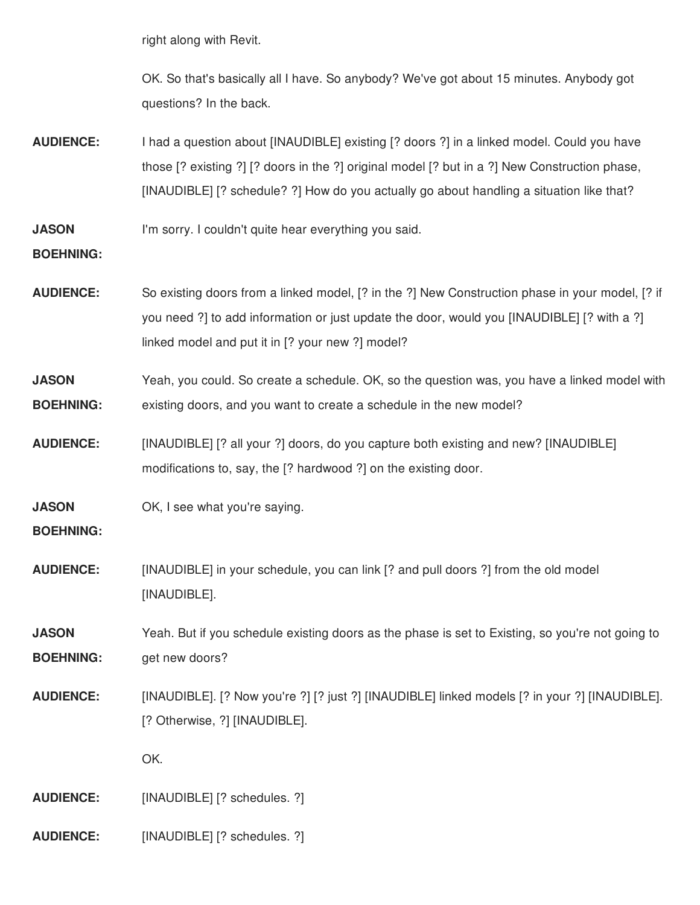right along with Revit.

OK. So that's basically all I have. So anybody? We've got about 15 minutes. Anybody got questions? In the back.

- **AUDIENCE:** I had a question about [INAUDIBLE] existing [? doors ?] in a linked model. Could you have those [? existing ?] [? doors in the ?] original model [? but in a ?] New Construction phase, [INAUDIBLE] [? schedule? ?] How do you actually go about handling a situation like that?
- **JASON** I'm sorry. I couldn't quite hear everything you said.

## **BOEHNING:**

- **AUDIENCE:** So existing doors from a linked model, [? in the ?] New Construction phase in your model, [? if you need ?] to add information or just update the door, would you [INAUDIBLE] [? with a ?] linked model and put it in [? your new ?] model?
- **JASON BOEHNING:** Yeah, you could. So create a schedule. OK, so the question was, you have a linked model with existing doors, and you want to create a schedule in the new model?
- **AUDIENCE:** [INAUDIBLE] [? all your ?] doors, do you capture both existing and new? [INAUDIBLE] modifications to, say, the [? hardwood ?] on the existing door.
- **JASON** OK, I see what you're saying.

## **BOEHNING:**

**AUDIENCE:** [INAUDIBLE] in your schedule, you can link [? and pull doors ?] from the old model [INAUDIBLE].

**JASON BOEHNING:** Yeah. But if you schedule existing doors as the phase is set to Existing, so you're not going to get new doors?

**AUDIENCE:** [INAUDIBLE]. [? Now you're ?] [? just ?] [INAUDIBLE] linked models [? in your ?] [INAUDIBLE]. [? Otherwise, ?] [INAUDIBLE].

OK.

**AUDIENCE:** [INAUDIBLE] [? schedules. ?]

**AUDIENCE:** [INAUDIBLE] [? schedules. ?]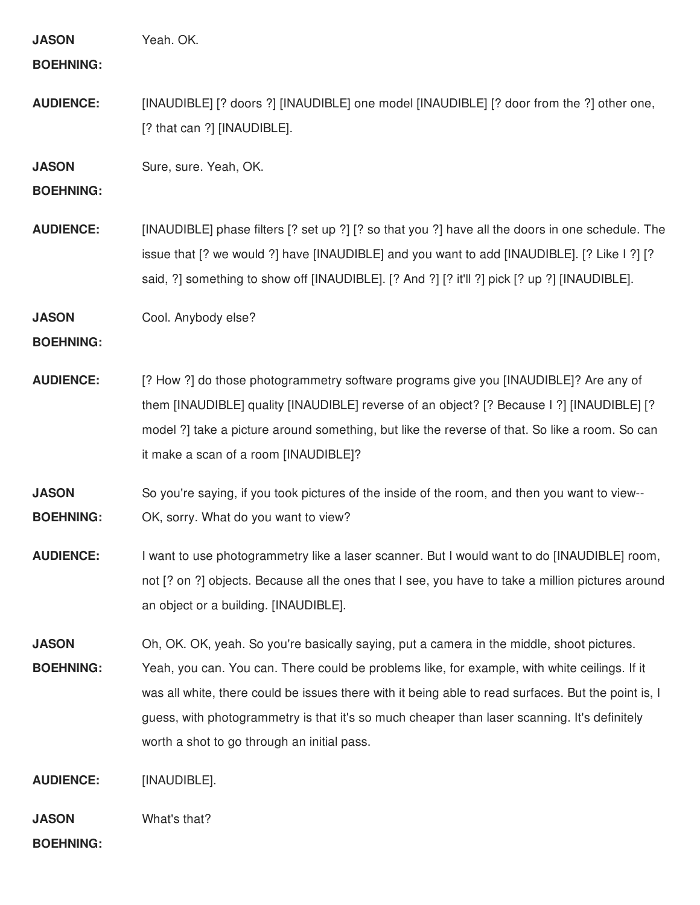| <b>JASON</b><br><b>BOEHNING:</b> | Yeah. OK.                                                                                                                                                                                                                                                                                                                                                                                                                                        |
|----------------------------------|--------------------------------------------------------------------------------------------------------------------------------------------------------------------------------------------------------------------------------------------------------------------------------------------------------------------------------------------------------------------------------------------------------------------------------------------------|
| <b>AUDIENCE:</b>                 | [INAUDIBLE] [? doors ?] [INAUDIBLE] one model [INAUDIBLE] [? door from the ?] other one,<br>[? that can ?] [INAUDIBLE].                                                                                                                                                                                                                                                                                                                          |
| <b>JASON</b><br><b>BOEHNING:</b> | Sure, sure. Yeah, OK.                                                                                                                                                                                                                                                                                                                                                                                                                            |
| <b>AUDIENCE:</b>                 | [INAUDIBLE] phase filters [? set up ?] [? so that you ?] have all the doors in one schedule. The<br>issue that [? we would ?] have [INAUDIBLE] and you want to add [INAUDIBLE]. [? Like I ?] [?<br>said, ?] something to show off [INAUDIBLE]. [? And ?] [? it'll ?] pick [? up ?] [INAUDIBLE].                                                                                                                                                  |
| <b>JASON</b><br><b>BOEHNING:</b> | Cool. Anybody else?                                                                                                                                                                                                                                                                                                                                                                                                                              |
| <b>AUDIENCE:</b>                 | [? How ?] do those photogrammetry software programs give you [INAUDIBLE]? Are any of<br>them [INAUDIBLE] quality [INAUDIBLE] reverse of an object? [? Because I ?] [INAUDIBLE] [?<br>model ?] take a picture around something, but like the reverse of that. So like a room. So can<br>it make a scan of a room [INAUDIBLE]?                                                                                                                     |
| <b>JASON</b><br><b>BOEHNING:</b> | So you're saying, if you took pictures of the inside of the room, and then you want to view--<br>OK, sorry. What do you want to view?                                                                                                                                                                                                                                                                                                            |
| <b>AUDIENCE:</b>                 | I want to use photogrammetry like a laser scanner. But I would want to do [INAUDIBLE] room,<br>not [? on ?] objects. Because all the ones that I see, you have to take a million pictures around<br>an object or a building. [INAUDIBLE].                                                                                                                                                                                                        |
| <b>JASON</b><br><b>BOEHNING:</b> | Oh, OK. OK, yeah. So you're basically saying, put a camera in the middle, shoot pictures.<br>Yeah, you can. You can. There could be problems like, for example, with white ceilings. If it<br>was all white, there could be issues there with it being able to read surfaces. But the point is, I<br>guess, with photogrammetry is that it's so much cheaper than laser scanning. It's definitely<br>worth a shot to go through an initial pass. |
| <b>AUDIENCE:</b>                 | [INAUDIBLE].                                                                                                                                                                                                                                                                                                                                                                                                                                     |
| <b>JASON</b>                     | What's that?                                                                                                                                                                                                                                                                                                                                                                                                                                     |

**BOEHNING:**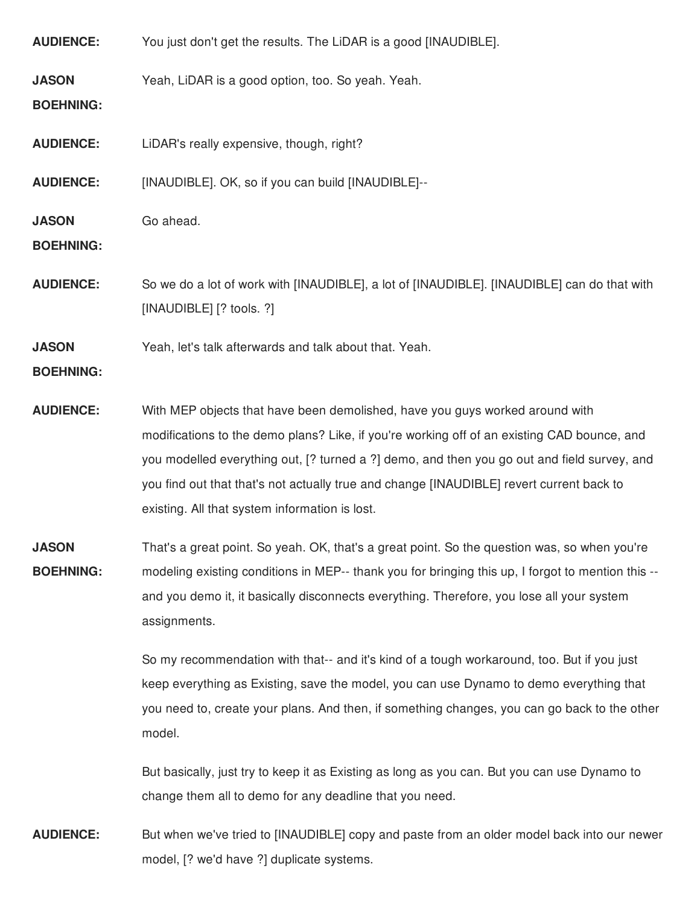| <b>AUDIENCE:</b>                 | You just don't get the results. The LiDAR is a good [INAUDIBLE].                                                                                                                                                                                                                                                                                                                                                         |
|----------------------------------|--------------------------------------------------------------------------------------------------------------------------------------------------------------------------------------------------------------------------------------------------------------------------------------------------------------------------------------------------------------------------------------------------------------------------|
| <b>JASON</b><br><b>BOEHNING:</b> | Yeah, LiDAR is a good option, too. So yeah. Yeah.                                                                                                                                                                                                                                                                                                                                                                        |
| <b>AUDIENCE:</b>                 | LiDAR's really expensive, though, right?                                                                                                                                                                                                                                                                                                                                                                                 |
| <b>AUDIENCE:</b>                 | [INAUDIBLE]. OK, so if you can build [INAUDIBLE]--                                                                                                                                                                                                                                                                                                                                                                       |
| <b>JASON</b><br><b>BOEHNING:</b> | Go ahead.                                                                                                                                                                                                                                                                                                                                                                                                                |
| <b>AUDIENCE:</b>                 | So we do a lot of work with [INAUDIBLE], a lot of [INAUDIBLE]. [INAUDIBLE] can do that with<br>[INAUDIBLE] [? tools. ?]                                                                                                                                                                                                                                                                                                  |
| <b>JASON</b><br><b>BOEHNING:</b> | Yeah, let's talk afterwards and talk about that. Yeah.                                                                                                                                                                                                                                                                                                                                                                   |
| <b>AUDIENCE:</b>                 | With MEP objects that have been demolished, have you guys worked around with<br>modifications to the demo plans? Like, if you're working off of an existing CAD bounce, and<br>you modelled everything out, [? turned a ?] demo, and then you go out and field survey, and<br>you find out that that's not actually true and change [INAUDIBLE] revert current back to<br>existing. All that system information is lost. |
| <b>JASON</b><br><b>BOEHNING:</b> | That's a great point. So yeah. OK, that's a great point. So the question was, so when you're<br>modeling existing conditions in MEP-- thank you for bringing this up, I forgot to mention this --<br>and you demo it, it basically disconnects everything. Therefore, you lose all your system<br>assignments.                                                                                                           |
|                                  | So my recommendation with that-- and it's kind of a tough workaround, too. But if you just<br>keep everything as Existing, save the model, you can use Dynamo to demo everything that<br>you need to, create your plans. And then, if something changes, you can go back to the other<br>model.                                                                                                                          |
|                                  | But basically, just try to keep it as Existing as long as you can. But you can use Dynamo to<br>change them all to demo for any deadline that you need.                                                                                                                                                                                                                                                                  |
| <b>AUDIENCE:</b>                 | But when we've tried to [INAUDIBLE] copy and paste from an older model back into our newer                                                                                                                                                                                                                                                                                                                               |

model, [? we'd have ?] duplicate systems.